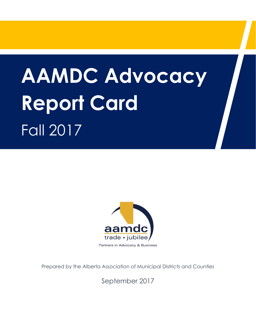# **AAMDC Advocacy Report Card**  Fall 2017



Prepared by the Alberta Association of Municipal Districts and Counties

September 2017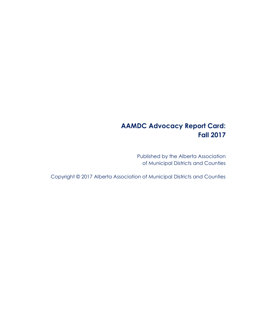# **AAMDC Advocacy Report Card: Fall 2017**

Published by the Alberta Association of Municipal Districts and Counties

Copyright © 2017 Alberta Association of Municipal Districts and Counties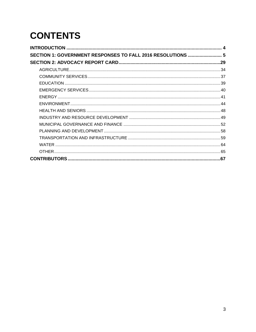# **CONTENTS**

| SECTION 1: GOVERNMENT RESPONSES TO FALL 2016 RESOLUTIONS  5 |  |
|-------------------------------------------------------------|--|
|                                                             |  |
|                                                             |  |
|                                                             |  |
|                                                             |  |
|                                                             |  |
|                                                             |  |
|                                                             |  |
|                                                             |  |
|                                                             |  |
|                                                             |  |
|                                                             |  |
|                                                             |  |
|                                                             |  |
|                                                             |  |
|                                                             |  |
|                                                             |  |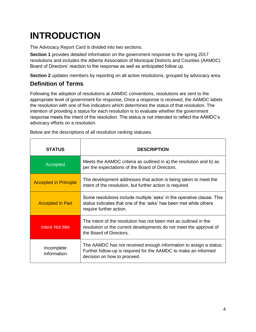# <span id="page-3-0"></span>**INTRODUCTION**

The Advocacy Report Card is divided into two sections.

**Section 1** provides detailed information on the government response to the spring 2017 resolutions and includes the Alberta Association of Municipal Districts and Counties (AAMDC) Board of Directors' reaction to the response as well as anticipated follow up.

**Section 2** updates members by reporting on all active resolutions, grouped by advocacy area.

# **Definition of Terms**

Following the adoption of resolutions at AAMDC conventions, resolutions are sent to the appropriate level of government for response. Once a response is received, the AAMDC labels the resolution with one of five indicators which determines the status of that resolution. The intention of providing a status for each resolution is to evaluate whether the government response meets the intent of the resolution. The status is not intended to reflect the AAMDC's advocacy efforts on a resolution.

| <b>STATUS</b>                | <b>DESCRIPTION</b>                                                                                                                                                     |
|------------------------------|------------------------------------------------------------------------------------------------------------------------------------------------------------------------|
| Accepted                     | Meets the AAMDC criteria as outlined in a) the resolution and b) as<br>per the expectations of the Board of Directors.                                                 |
| <b>Accepted in Principle</b> | The development addresses that action is being taken to meet the<br>intent of the resolution, but further action is required.                                          |
| <b>Accepted in Part</b>      | Some resolutions include multiple 'asks' in the operative clause. This<br>status indicates that one of the 'asks' has been met while others<br>require further action. |
| <b>Intent Not Met</b>        | The intent of the resolution has not been met as outlined in the<br>resolution or the current developments do not meet the approval of<br>the Board of Directors.      |
| Incomplete<br>Information    | The AAMDC has not received enough information to assign a status.<br>Further follow-up is required for the AAMDC to make an informed<br>decision on how to proceed.    |

Below are the descriptions of all resolution ranking statuses.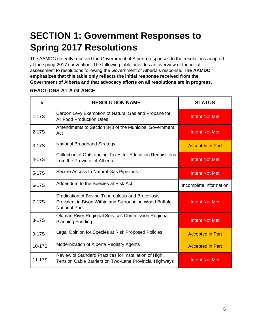# <span id="page-4-0"></span>**SECTION 1: Government Responses to Spring 2017 Resolutions**

The AAMDC recently received the Government of Alberta responses to the resolutions adopted at the spring 2017 convention. The following table provides an overview of the initial assessment to resolutions following the Government of Alberta's response. **The AAMDC emphasizes that this table only reflects the initial response received from the Government of Alberta and that advocacy efforts on all resolutions are in progress.** 

# **# RESOLUTION NAME STATUS** 1-17S Carbon Levy Exemption of Natural Gas and Propane for **All Food Production Uses** Intent Not Met 2-17S Amendments to Section 348 of the Municipal Government Act **Intent Not Met** 3-17S National Broadband Strategy **Accepted in Part** Accepted in Part 4-17S Collection of Outstanding Taxes for Education Requisitions from the Province of Alberta **Intent Not Met** 5-17S Secure Access to Natural Gas Pipelines Intent Not Met 6-17S Addendum to the Species at Risk Act Incomplete Information 7-17S Eradication of Bovine Tuberculosis and Brucellosis Prevalent in Bison Within and Surrounding Wood Buffalo National Park Intent Not Met 8-17S Oldman River Regional Services Commission Regional Planning Funding **Intent Not Met** 9-17S | Legal Opinion for Species at Risk Proposed Policies | Accepted in Part 10-17S | Modernization of Alberta Registry Agents | Accepted in Part 11-17S Review of Standard Practices for Installation of High Tension Cable Barriers on Two-Lane Provincial Highways **Intent Not Met**

## **REACTIONS AT A GLANCE**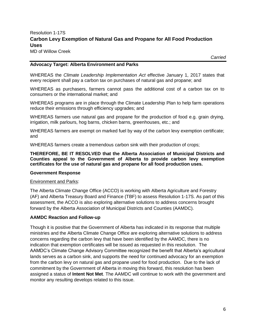# Resolution 1-17S **Carbon Levy Exemption of Natural Gas and Propane for All Food Production Uses**

MD of Willow Creek

*Carried*

#### **Advocacy Target: Alberta Environment and Parks**

WHEREAS the *Climate Leadership Implementation Act* effective January 1, 2017 states that every recipient shall pay a carbon tax on purchases of natural gas and propane; and

WHEREAS as purchasers, farmers cannot pass the additional cost of a carbon tax on to consumers or the international market; and

WHEREAS programs are in place through the Climate Leadership Plan to help farm operations reduce their emissions through efficiency upgrades; and

WHEREAS farmers use natural gas and propane for the production of food e.g. grain drying, irrigation, milk parlours, hog barns, chicken barns, greenhouses, etc.; and

WHEREAS farmers are exempt on marked fuel by way of the carbon levy exemption certificate; and

WHEREAS farmers create a tremendous carbon sink with their production of crops;

**THEREFORE, BE IT RESOLVED that the Alberta Association of Municipal Districts and Counties appeal to the Government of Alberta to provide carbon levy exemption certificates for the use of natural gas and propane for all food production uses.**

#### **Government Response**

#### Environment and Parks:

The Alberta Climate Change Office (ACCO) is working with Alberta Agriculture and Forestry (AF) and Alberta Treasury Board and Finance (TBF) to assess Resolution 1-17S. As part of this assessment, the ACCO is also exploring alternative solutions to address concerns brought forward by the Alberta Association of Municipal Districts and Counties (AAMDC).

#### **AAMDC Reaction and Follow-up**

Though it is positive that the Government of Alberta has indicated in its response that multiple ministries and the Alberta Climate Change Office are exploring alternative solutions to address concerns regarding the carbon levy that have been identified by the AAMDC, there is no indication that exemption certificates will be issued as requested in this resolution. The AAMDC's Climate Change Advisory Committee recognized the benefit that Alberta's agricultural lands serves as a carbon sink, and supports the need for continued advocacy for an exemption from the carbon levy on natural gas and propane used for food production. Due to the lack of commitment by the Government of Alberta in moving this forward, this resolution has been assigned a status of **Intent Not Met**. The AAMDC will continue to work with the government and monitor any resulting develops related to this issue.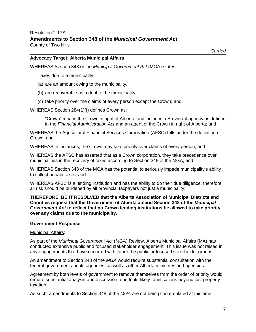#### **Advocacy Target: Alberta Municipal Affairs**

WHEREAS Section 348 of the *Municipal Government Act* (MGA) states:

Taxes due to a municipality

- (a) are an amount owing to the municipality,
- (b) are recoverable as a debt to the municipality,
- (c) take priority over the claims of every person except the Crown; and

WHEREAS Section 284(1)(f) defines Crown as:

"Crown" means the Crown in right of Alberta, and includes a Provincial agency as defined in the *Financial Administration Act* and an agent of the Crown in right of Alberta; and

WHEREAS the Agricultural Financial Services Corporation (AFSC) falls under the definition of Crown; and

WHEREAS in instances, the Crown may take priority over claims of every person; and

WHEREAS the AFSC has asserted that as a Crown corporation, they take precedence over municipalities in the recovery of taxes according to Section 348 of the MGA; and

WHEREAS Section 348 of the MGA has the potential to seriously impede municipality's ability to collect unpaid taxes; and

WHEREAS AFSC is a lending institution and has the ability to do their due diligence, therefore all risk should be burdened by all provincial taxpayers not just a municipality;

#### **THEREFORE, BE IT RESOLVED that the Alberta Association of Municipal Districts and Counties request that the Government of Alberta amend Section 348 of the** *Municipal Government Act* **to reflect that no Crown lending institutions be allowed to take priority over any claims due to the municipality.**

#### **Government Response**

#### Municipal Affairs:

As part of the *Municipal Government Act* (*MGA*) Review, Alberta Municipal Affairs (MA) has conducted extensive public and focused stakeholder engagement. This issue was not raised in any engagements that have occurred with either the public or focused stakeholder groups.

An amendment to Section 348 of the *MGA* would require substantial consultation with the federal government and its agencies, as well as other Alberta ministries and agencies.

Agreement by both levels of government to remove themselves from the order of priority would require substantial analysis and discussion, due to its likely ramifications beyond just property taxation.

As such, amendments to Section 348 of the *MGA* are not being contemplated at this time.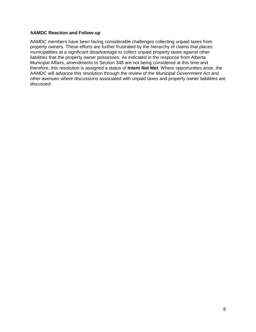#### **AAMDC Reaction and Follow-up**

AAMDC members have been facing considerable challenges collecting unpaid taxes from property owners. These efforts are further frustrated by the hierarchy of claims that places municipalities at a significant disadvantage to collect unpaid property taxes against other liabilities that the property owner possesses. As indicated in the response from Alberta Municipal Affairs, amendments to Section 348 are not being considered at this time and therefore, this resolution is assigned a status of **Intent Not Met**. Where opportunities arise, the AAMDC will advance this resolution through the review of the *Municipal Government Act* and other avenues where discussions associated with unpaid taxes and property owner liabilities are discussed.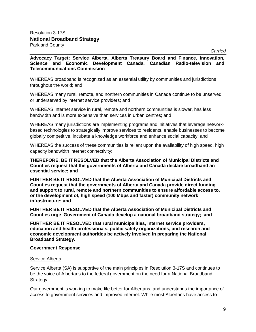*Carried*

**Advocacy Target: Service Alberta, Alberta Treasury Board and Finance, Innovation, Science and Economic Development Canada, Canadian Radio-television and Telecommunications Commission**

WHEREAS broadband is recognized as an essential utility by communities and jurisdictions throughout the world; and

WHEREAS many rural, remote, and northern communities in Canada continue to be unserved or underserved by internet service providers; and

WHEREAS internet service in rural, remote and northern communities is slower, has less bandwidth and is more expensive than services in urban centres; and

WHEREAS many jurisdictions are implementing programs and initiatives that leverage networkbased technologies to strategically improve services to residents, enable businesses to become globally competitive, incubate a knowledge workforce and enhance social capacity; and

WHEREAS the success of these communities is reliant upon the availability of high speed, high capacity bandwidth internet connectivity;

**THEREFORE, BE IT RESOLVED that the Alberta Association of Municipal Districts and Counties request that the governments of Alberta and Canada declare broadband an essential service; and** 

**FURTHER BE IT RESOLVED that the Alberta Association of Municipal Districts and Counties request that the governments of Alberta and Canada provide direct funding and support to rural, remote and northern communities to ensure affordable access to, or the development of, high speed (100 Mbps and faster) community network infrastructure; and** 

**FURTHER BE IT RESOLVED that the Alberta Association of Municipal Districts and Counties urge Government of Canada develop a national broadband strategy; and** 

**FURTHER BE IT RESOLVED that rural municipalities, internet service providers, education and health professionals, public safety organizations, and research and economic development authorities be actively involved in preparing the National Broadband Strategy.**

#### **Government Response**

#### Service Alberta:

Service Alberta (SA) is supportive of the main principles in Resolution 3-17S and continues to be the voice of Albertans to the federal government on the need for a National Broadband Strategy.

Our government is working to make life better for Albertans, and understands the importance of access to government services and improved internet. While most Albertans have access to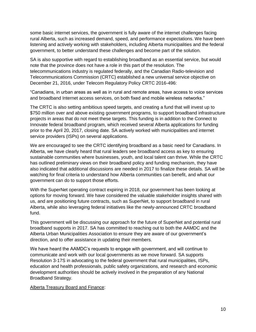some basic internet services, the government is fully aware of the internet challenges facing rural Alberta, such as increased demand, speed, and performance expectations. We have been listening and actively working with stakeholders, including Alberta municipalities and the federal government, to better understand these challenges and become part of the solution.

SA is also supportive with regard to establishing broadband as an essential service, but would note that the province does not have a role in this part of the resolution. The telecommunications industry is regulated federally, and the Canadian Radio-television and Telecommunications Commission (CRTC) established a new universal service objective on December 21, 2016, under Telecom Regulatory Policy CRTC 2016-496:

"Canadians, in urban areas as well as in rural and remote areas, have access to voice services and broadband Internet access services, on both fixed and mobile wireless networks."

The CRTC is also setting ambitious speed targets, and creating a fund that will invest up to \$750 million over and above existing government programs, to support broadband infrastructure projects in areas that do not meet these targets. This funding is in addition to the Connect to Innovate federal broadband program, which received several Alberta applications for funding prior to the April 20, 2017, closing date. SA actively worked with municipalities and internet service providers (ISPs) on several applications.

We are encouraged to see the CRTC identifying broadband as a basic need for Canadians. In Alberta, we have clearly heard that rural leaders see broadband access as key to ensuring sustainable communities where businesses, youth, and local talent can thrive. While the CRTC has outlined preliminary views on their broadband policy and funding mechanism, they have also indicated that additional discussions are needed in 2017 to finalize these details. SA will be watching for final criteria to understand how Alberta communities can benefit, and what our government can do to support those efforts.

With the SuperNet operating contract expiring in 2018, our government has been looking at options for moving forward. We have considered the valuable stakeholder insights shared with us, and are positioning future contracts, such as SuperNet, to support broadband in rural Alberta, while also leveraging federal initiatives like the newly-announced CRTC broadband fund.

This government will be discussing our approach for the future of SuperNet and potential rural broadband supports in 2017. SA has committed to reaching out to both the AAMDC and the Alberta Urban Municipalities Association to ensure they are aware of our government's direction, and to offer assistance in updating their members.

We have heard the AAMDC's requests to engage with government, and will continue to communicate and work with our local governments as we move forward. SA supports Resolution 3-17S in advocating to the federal government that rural municipalities, ISPs, education and health professionals, public safety organizations, and research and economic development authorities should be actively involved in the preparation of any National Broadband Strategy.

Alberta Treasury Board and Finance: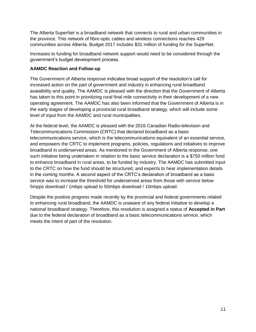The Alberta SuperNet is a broadband network that connects to rural and urban communities in the province. This network of fibre-optic cables and wireless connections reaches 429 communities across Alberta. Budget 2017 includes \$31 million of funding for the SuperNet.

Increases to funding for broadband network support would need to be considered through the government's budget development process.

#### **AAMDC Reaction and Follow-up**

The Government of Alberta response indicates broad support of the resolution's call for increased action on the part of government and industry in enhancing rural broadband avaialbility and quality. The AAMDC is pleased with the direction that the Government of Alberta has taken to this point in prioritizing rural final mile connectivity in their development of a new operating agreement. The AAMDC has also been informed that the Government of Alberta is in the early stages of developing a provincial rural broadband strategy, which will include some level of input from the AAMDC and rural municipalities.

At the federal level, the AAMDC is pleased with the 2016 Canadian Radio-television and Telecommunications Commission (CRTC) that declared broadband as a basic telecommunications service, which is the telecommunications equivalent of an essential service, and empowers the CRTC to implement programs, policies, regulations and initiatives to improve broadband in underserved areas. As mentioned in the Government of Alberta response, one such initiative being undertaken in relation to the basic service declaration is a \$750 million fund to enhance broadband in rural areas, to be funded by industry. The AAMDC has submitted input to the CRTC on how the fund should be structured, and expects to hear implementation details in the coming months. A second aspect of the CRTC's declaration of broadband as a basic service was to increase the threshold for underserved areas from those with service below 5mpps download / 1mbps upload to 50mbps download / 10mbps upload.

Despite the positive progress made recently by the provincial and federal governments related to enhancing rural broadband, the AAMDC is unaware of any federal initiative to develop a national broadband strategy. Therefore, this resolution is assigned a status of **Accepted in Part** due to the federal declaration of broadband as a basic telecommunications service, which meets the intent of part of the resolution.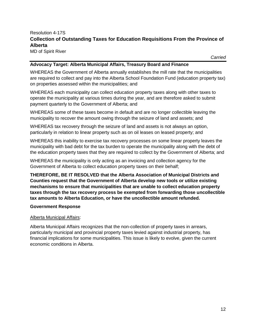## Resolution 4-17S **Collection of Outstanding Taxes for Education Requisitions From the Province of Alberta**

MD of Spirit River

*Carried*

#### **Advocacy Target: Alberta Municipal Affairs, Treasury Board and Finance**

WHEREAS the Government of Alberta annually establishes the mill rate that the municipalities are required to collect and pay into the Alberta School Foundation Fund (education property tax) on properties assessed within the municipalities; and

WHEREAS each municipality can collect education property taxes along with other taxes to operate the municipality at various times during the year, and are therefore asked to submit payment quarterly to the Government of Alberta; and

WHEREAS some of these taxes become in default and are no longer collectible leaving the municipality to recover the amount owing through the seizure of land and assets; and

WHEREAS tax recovery through the seizure of land and assets is not always an option, particularly in relation to linear property such as on oil leases on leased property; and

WHEREAS this inability to exercise tax recovery processes on some linear property leaves the municipality with bad debt for the tax burden to operate the municipality along with the debt of the education property taxes that they are required to collect by the Government of Alberta; and

WHEREAS the municipality is only acting as an invoicing and collection agency for the Government of Alberta to collect education property taxes on their behalf;

**THEREFORE, BE IT RESOLVED that the Alberta Association of Municipal Districts and Counties request that the Government of Alberta develop new tools or utilize existing mechanisms to ensure that municipalities that are unable to collect education property taxes through the tax recovery process be exempted from forwarding those uncollectible tax amounts to Alberta Education, or have the uncollectible amount refunded.**

#### **Government Response**

#### Alberta Municipal Affairs:

Alberta Municipal Affairs recognizes that the non-collection of property taxes in arrears, particularly municipal and provincial property taxes levied against industrial property, has financial implications for some municipalities. This issue is likely to evolve, given the current economic conditions in Alberta.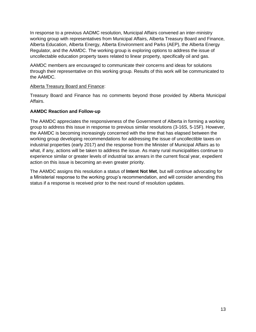In response to a previous AADMC resolution, Municipal Affairs convened an inter-ministry working group with representatives from Municipal Affairs, Alberta Treasury Board and Finance, Alberta Education, Alberta Energy, Alberta Environment and Parks (AEP), the Alberta Energy Regulator, and the AAMDC. The working group is exploring options to address the issue of uncollectable education property taxes related to linear property, specifically oil and gas.

AAMDC members are encouraged to communicate their concerns and ideas for solutions through their representative on this working group. Results of this work will be communicated to the AAMDC.

#### Alberta Treasury Board and Finance:

Treasury Board and Finance has no comments beyond those provided by Alberta Municipal Affairs.

#### **AAMDC Reaction and Follow-up**

The AAMDC appreciates the responsiveness of the Government of Alberta in forming a working group to address this issue in response to previous similar resolutions (3-16S, 5-15F). However, the AAMDC is becoming increasingly concerned with the time that has elapsed between the working group developing recommendations for addressing the issue of uncollectible taxes on industrial properties (early 2017) and the response from the Minister of Municipal Affairs as to what, if any, actions will be taken to address the issue. As many rural municipalities continue to experience similar or greater levels of industrial tax arrears in the current fiscal year, expedient action on this issue is becoming an even greater priority.

The AAMDC assigns this resolution a status of **Intent Not Met**, but will continue advocating for a Ministerial response to the working group's recommendation, and will consider amending this status if a response is received prior to the next round of resolution updates.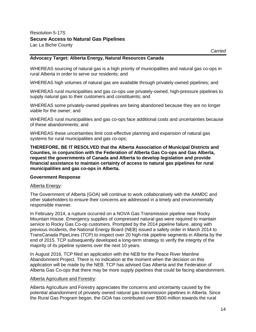#### **Advocacy Target: Alberta Energy, Natural Resources Canada**

WHEREAS sourcing of natural gas is a high priority of municipalities and natural gas co-ops in rural Alberta in order to serve our residents; and

WHEREAS high volumes of natural gas are available through privately-owned pipelines; and

WHEREAS rural municipalities and gas co-ops use privately-owned, high-pressure pipelines to supply natural gas to their customers and constituents; and

WHEREAS some privately-owned pipelines are being abandoned because they are no longer viable for the owner; and

WHEREAS rural municipalities and gas co-ops face additional costs and uncertainties because of these abandonments; and

WHEREAS these uncertainties limit cost-effective planning and expansion of natural gas systems for rural municipalities and gas co-ops;

**THEREFORE, BE IT RESOLVED that the Alberta Association of Municipal Districts and Counties, in conjunction with the Federation of Alberta Gas Co-ops and Gas Alberta, request the governments of Canada and Alberta to develop legislation and provide financial assistance to maintain certainty of access to natural gas pipelines for rural municipalities and gas co-ops in Alberta.**

#### **Government Response**

#### Alberta Energy:

The Government of Alberta (GOA) will continue to work collaboratively with the AAMDC and other stakeholders to ensure their concerns are addressed in a timely and environmentally responsible manner.

In February 2014, a rupture occurred on a NOVA Gas Transmission pipeline near Rocky Mountain House. Emergency supplies of compressed natural gas were required to maintain service to Rocky Gas Co-op customers. Prompted by the 2014 pipeline failure, along with previous incidents, the National Energy Board (NEB) issued a safety order in March 2014 to TransCanada PipeLines (TCP) to inspect over 20 high-risk pipeline segments in Alberta by the end of 2015. TCP subsequently developed a long-term strategy to verify the integrity of the majority of its pipeline systems over the next 10 years.

In August 2016, TCP filed an application with the NEB for the Peace River Mainline Abandonment Project. There is no indication at the moment when the decision on this application will be made by the NEB. TCP has advised Gas Alberta and the Federation of Alberta Gas Co-ops that there may be more supply pipelines that could be facing abandonment.

#### Alberta Agriculture and Forestry:

Alberta Agriculture and Forestry appreciates the concerns and uncertainty caused by the potential abandonment of privately owned natural gas transmission pipelines in Alberta. Since the Rural Gas Program began, the GOA has contributed over \$500 million towards the rural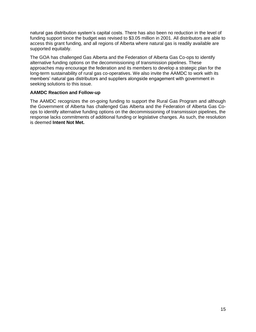natural gas distribution system's capital costs. There has also been no reduction in the level of funding support since the budget was revised to \$3.05 million in 2001. All distributors are able to access this grant funding, and all regions of Alberta where natural gas is readily available are supported equitably.

The GOA has challenged Gas Alberta and the Federation of Alberta Gas Co-ops to identify alternative funding options on the decommissioning of transmission pipelines. These approaches may encourage the federation and its members to develop a strategic plan for the long-term sustainability of rural gas co-operatives. We also invite the AAMDC to work with its members' natural gas distributors and suppliers alongside engagement with government in seeking solutions to this issue.

#### **AAMDC Reaction and Follow-up**

The AAMDC recognizes the on-going funding to support the Rural Gas Program and although the Government of Alberta has challenged Gas Alberta and the Federation of Alberta Gas Coops to identify alternative funding options on the decommissioning of transmission pipelines, the response lacks commitments of additional funding or legislative changes. As such, the resolution is deemed **Intent Not Met.**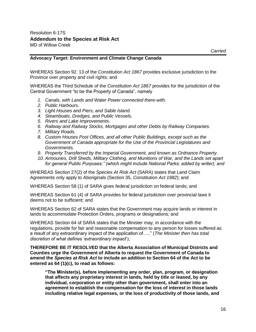#### **Advocacy Target: Environment and Climate Change Canada**

WHEREAS Section 92. 13 of the *Constitution Act 1867* provides exclusive jurisdiction to the Province over property and civil rights; and

WHEREAS the Third Schedule of the *Constitution Act 1867* provides for the jurisdiction of the Central Government "to be the Property of Canada", namely

- *1. Canals, with Lands and Water Power connected there-with.*
- *2. Public Harbours.*
- *3. Light Houses and Piers, and Sable Island.*
- *4. Steamboats, Dredges, and Public Vessels.*
- *5. Rivers and Lake Improvements.*
- *6. Railway and Railway Stocks, Mortgages and other Debts by Railway Companies.*
- *7. Military Roads.*
- *8. Custom Houses Post Offices, and all other Public Buildings, except such as the Government of Canada appropriate for the Use of the Provincial Legislatures and Governments.*
- *9. Property Transferred by the Imperial Government, and known as Ordnance Property.*
- *10. Armouries, Drill Sheds, Military Clothing, and Munitions of War, and the Lands set apart for general Public Purposes." (which might include National Parks; added by writer); and*

WHEREAS Section 27(2) of the *Species At Risk Act* (SARA) states that Land Claim Agreements only apply to Aboriginals (Section 35, *Constitution Act 1982*); and

WHEREAS Section 58 (1) of SARA gives federal jurisdiction on federal lands; and

WHEREAS Section 61 (4) of SARA provides for federal jurisdiction over provincial laws it deems not to be sufficient; and

WHEREAS Section 62 of SARA states that the Government may acquire lands or interest in lands to accommodate Protection Orders, programs or designations; and

WHEREAS Section 64 of SARA states that the Minister may, in accordance with the regulations, provide for fair and reasonable compensation to any person for losses suffered as a result of any extraordinary impact of the application of….." (*The Minister then has total discretion of what defines 'extraordinary impact*');

**THEREFORE BE IT RESOLVED that the Alberta Association of Municipal Districts and Counties urge the Government of Alberta to request the Government of Canada to amend the** *Species at Risk Act* **to include an addition to Section 64 of the Act to be entered as 64 (1)(c), to read as follows:** 

**"The Minister(s), before implementing any order, plan, program, or designation that affects any proprietary interest in lands, held by title or leased, by any individual, corporation or entity other than government, shall enter into an agreement to establish the compensation for the loss of interest in those lands including relative legal expenses, or the loss of productivity of those lands, and**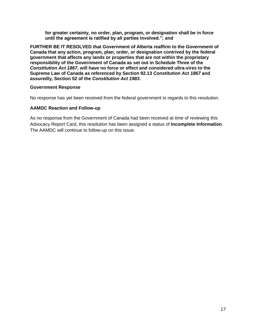**for greater certainty, no order, plan, program, or designation shall be in force until the agreement is ratified by all parties involved."; and** 

**FURTHER BE IT RESOLVED that Government of Alberta reaffirm to the Government of Canada that any action, program, plan, order, or designation contrived by the federal government that affects any lands or properties that are not within the proprietary responsibility of the Government of Canada as set out in Schedule Three of the**  *Constitution Act 1867***, will have no force or effect and considered ultra-vires to the Supreme Law of Canada as referenced by Section 92.13** *Constitution Act 1867* **and assuredly, Section 52 of the** *Constitution Act 1983***.**

#### **Government Response**

No response has yet been received from the federal government in regards to this resolution.

#### **AAMDC Reaction and Follow-up**

As no response from the Government of Canada had been received at time of reviewing this Advocacy Report Card, this resolution has been assigned a status of **Incomplete Information**. The AAMDC will continue to follow-up on this issue.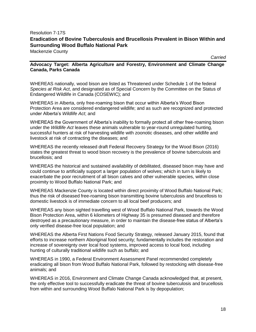### Resolution 7-17S **Eradication of Bovine Tuberculosis and Brucellosis Prevalent in Bison Within and Surrounding Wood Buffalo National Park**

Mackenzie County

*Carried*

#### **Advocacy Target: Alberta Agriculture and Forestry, Environment and Climate Change Canada, Parks Canada**

WHEREAS nationally, wood bison are listed as Threatened under Schedule 1 of the federal *Species at Risk Act*, and designated as of Special Concern by the Committee on the Status of Endangered Wildlife in Canada (COSEWIC); and

WHEREAS in Alberta, only free-roaming bison that occur within Alberta's Wood Bison Protection Area are considered endangered wildlife; and as such are recognized and protected under Alberta's *Wildlife Act*; and

WHEREAS the Government of Alberta's inability to formally protect all other free-roaming bison under the *Wildlife Act* leaves these animals vulnerable to year-round unregulated hunting, successful hunters at risk of harvesting wildlife with zoonotic diseases, and other wildlife and livestock at risk of contracting the diseases; and

WHEREAS the recently released draft Federal Recovery Strategy for the Wood Bison (2016) states the greatest threat to wood bison recovery is the prevalence of bovine tuberculosis and brucellosis; and

WHEREAS the historical and sustained availability of debilitated, diseased bison may have and could continue to artificially support a larger population of wolves; which in turn is likely to exacerbate the poor recruitment of all bison calves and other vulnerable species, within close proximity to Wood Buffalo National Park; and

WHEREAS Mackenzie County is located within direct proximity of Wood Buffalo National Park; thus the risk of diseased free-roaming bison transmitting bovine tuberculosis and brucellosis to domestic livestock is of immediate concern to all local beef producers; and

WHEREAS any bison sighted travelling west of Wood Buffalo National Park, towards the Wood Bison Protection Area, within 6 kilometers of Highway 35 is presumed diseased and therefore destroyed as a precautionary measure, in order to maintain the disease-free status of Alberta's only verified disease-free local population; and

WHEREAS the Alberta First Nations Food Security Strategy, released January 2015, found that efforts to increase northern Aboriginal food security; fundamentally includes the restoration and increase of sovereignty over local food systems, improved access to local food, including hunting of culturally traditional wildlife such as buffalo; and

WHEREAS in 1990, a Federal Environment Assessment Panel recommended completely eradicating all bison from Wood Buffalo National Park, followed by restocking with disease-free animals; and

WHEREAS in 2016, Environment and Climate Change Canada acknowledged that, at present, the only effective tool to successfully eradicate the threat of bovine tuberculosis and brucellosis from within and surrounding Wood Buffalo National Park is by depopulation;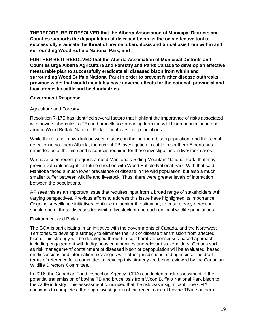**THEREFORE, BE IT RESOLVED that the Alberta Association of Municipal Districts and Counties supports the depopulation of diseased bison as the only effective tool to successfully eradicate the threat of bovine tuberculosis and brucellosis from within and surrounding Wood Buffalo National Park; and** 

**FURTHER BE IT RESOLVED that the Alberta Association of Municipal Districts and Counties urge Alberta Agriculture and Forestry and Parks Canada to develop an effective measurable plan to successfully eradicate all diseased bison from within and surrounding Wood Buffalo National Park in order to prevent further disease outbreaks province-wide; that would inevitably have adverse effects for the national, provincial and local domestic cattle and beef industries.** 

#### **Government Response**

#### Agriculture and Forestry:

Resolution 7-17S has identified several factors that highlight the importance of risks associated with bovine tuberculosis (TB) and brucellosis spreading from the wild bison population in and around Wood Buffalo National Park to local livestock populations.

While there is no known link between disease in this northern bison population, and the recent detection in southern Alberta, the current TB investigation in cattle in southern Alberta has reminded us of the time and resources required for these investigations in livestock cases.

We have seen recent progress around Manitoba's Riding Mountain National Park, that may provide valuable insight for future direction with Wood Buffalo National Park. With that said, Manitoba faced a much lower prevalence of disease in the wild population, but also a much smaller buffer between wildlife and livestock. Thus, there were greater levels of interaction between the populations.

AF sees this as an important issue that requires input from a broad range of stakeholders with varying perspectives. Previous efforts to address this issue have highlighted its importance. Ongoing surveillance initiatives continue to monitor the situation, to ensure early detection should one of these diseases transmit to livestock or encroach on local wildlife populations.

#### Environment and Parks:

The GOA is participating in an initiative with the governments of Canada, and the Northwest Territories, to develop a strategy to eliminate the risk of disease transmission from affected bison. This strategy will be developed through a collaborative, consensus-based approach, including engagement with Indigenous communities and relevant stakeholders. Options such as risk management/ containment of diseased bison or depopulation will be evaluated, based on discussions and information exchanges with other jurisdictions and agencies. The draft terms of reference for a committee to develop this strategy are being reviewed by the Canadian Wildlife Directors Committee.

In 2016, the Canadian Food Inspection Agency (CFIA) conducted a risk assessment of the potential transmission of bovine TB and brucellosis from Wood Buffalo National Park bison to the cattle industry. This assessment concluded that the risk was insignificant. The CFIA continues to complete a thorough investigation of the recent case of bovine TB in southern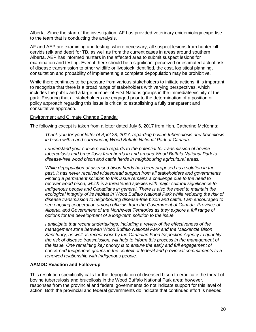Alberta. Since the start of the investigation, AF has provided veterinary epidemiology expertise to the team that is conducting the analysis.

AF and AEP are examining and testing, where necessary, all suspect lesions from hunter kill cervids (elk and deer) for TB, as well as from the current cases in areas around southern Alberta. AEP has informed hunters in the affected area to submit suspect lesions for examination and testing. Even if there should be a significant perceived or estimated actual risk of disease transmission to other wildlife or livestock identified, the cost, logistical planning, consultation and probability of implementing a complete depopulation may be prohibitive.

While there continues to be pressure from various stakeholders to initiate actions, it is important to recognize that there is a broad range of stakeholders with varying perspectives, which includes the public and a large number of First Nations groups in the immediate vicinity of the park. Ensuring that all stakeholders are engaged prior to the determination of a position or policy approach regarding this issue is critical to establishing a fully transparent and consultative approach.

#### Environment and Climate Change Canada:

The following except is taken from a letter dated July 6, 2017 from Hon. Catherine McKenna:

*Thank you for your letter of April 28, 2017, regarding bovine tuberculosis and brucellosis in bison within and surrounding Wood Buffalo National Park of Canada.*

*I understand your concern with regards to the potential for transmission of bovine tuberculosis and brucellosis from herds in and around Wood Buffalo National Park to disease-free wood bison and cattle herds in neighbouring agricultural areas.*

*While depopulation of diseased bison herds has been proposed as a solution in the past, it has never received widespread support from all stakeholders and governments. Finding a permanent solution to this issue remains a challenge due to the need to recover wood bison, which is a threatened species with major cultural significance to Indigenous people and Canadians in general. There is also the need to maintain the ecological integrity of its habitat in Wood Buffalo National Park while reducing the risk of disease transmission to neighbouring disease-free bison and cattle. I am encouraged to see ongoing cooperation among officials from the Government of Canada, Province of Alberta, and Government of the Northwest Territories as they explore a full range of options for the development of a long-term solution to the issue.*

*I anticipate that recent undertakings, including a review of the effectiveness of the management zone between Wood Buffalo National Park and the Mackenzie Bison Sanctuary, as well as recent work by the Canadian Food Inspection Agency to quantify the risk of disease transmission, will help to inform this process in the management of the issue. One remaining key priority is to ensure the early and full engagement of concerned Indigenous groups in the context of federal and provincial commitments to a renewed relationship with Indigenous people.*

#### **AAMDC Reaction and Follow-up**

This resolution specifically calls for the depopulation of diseased bison to eradicate the threat of bovine tuberculosis and brucellosis in the Wood Buffalo National Park area; however, responses from the provincial and federal governments do not indicate support for this level of action. Both the provincial and federal governments do indicate that continued effort is needed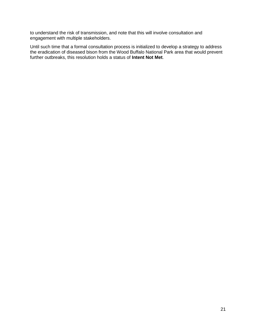to understand the risk of transmission, and note that this will involve consultation and engagement with multiple stakeholders.

Until such time that a formal consultation process is initialized to develop a strategy to address the eradication of diseased bison from the Wood Buffalo National Park area that would prevent further outbreaks, this resolution holds a status of **Intent Not Met**.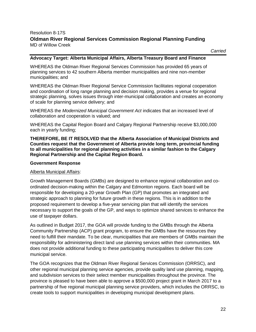#### Resolution 8-17S **Oldman River Regional Services Commission Regional Planning Funding** MD of Willow Creek

*Carried*

#### **Advocacy Target: Alberta Municipal Affairs, Alberta Treasury Board and Finance**

WHEREAS the Oldman River Regional Services Commission has provided 65 years of planning services to 42 southern Alberta member municipalities and nine non-member municipalities; and

WHEREAS the Oldman River Regional Service Commission facilitates regional cooperation and coordination of long range planning and decision making, provides a venue for regional strategic planning, solves issues through inter-municipal collaboration and creates an economy of scale for planning service delivery; and

WHEREAS the *Modernized Municipal Government Act* indicates that an increased level of collaboration and cooperation is valued; and

WHEREAS the Capital Region Board and Calgary Regional Partnership receive \$3,000,000 each in yearly funding;

**THEREFORE, BE IT RESOLVED that the Alberta Association of Municipal Districts and Counties request that the Government of Alberta provide long term, provincial funding to all municipalities for regional planning activities in a similar fashion to the Calgary Regional Partnership and the Capital Region Board.**

#### **Government Response**

#### Alberta Municipal Affairs:

Growth Management Boards (GMBs) are designed to enhance regional collaboration and coordinated decision-making within the Calgary and Edmonton regions. Each board will be responsible for developing a 20-year Growth Plan (GP) that promotes an integrated and strategic approach to planning for future growth in these regions. This is in addition to the proposed requirement to develop a five-year servicing plan that will identify the services necessary to support the goals of the GP, and ways to optimize shared services to enhance the use of taxpayer dollars.

As outlined in Budget 2017, the GOA will provide funding to the GMBs through the Alberta Community Partnership (ACP) grant program, to ensure the GMBs have the resources they need to fulfill their mandate. To be clear, municipalities that are members of GMBs maintain the responsibility for administering direct land use planning services within their communities. MA does not provide additional funding to these participating municipalities to deliver this core municipal service.

The GOA recognizes that the Oldman River Regional Services Commission (ORRSC), and other regional municipal planning service agencies, provide quality land use planning, mapping, and subdivision services to their select member municipalities throughout the province. The province is pleased to have been able to approve a \$500,000 project grant in March 2017 to a partnership of five regional municipal planning service providers, which includes the ORRSC, to create tools to support municipalities in developing municipal development plans.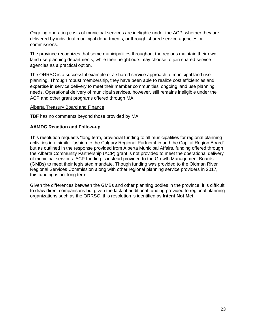Ongoing operating costs of municipal services are ineligible under the ACP, whether they are delivered by individual municipal departments, or through shared service agencies or commissions.

The province recognizes that some municipalities throughout the regions maintain their own land use planning departments, while their neighbours may choose to join shared service agencies as a practical option.

The ORRSC is a successful example of a shared service approach to municipal land use planning. Through robust membership, they have been able to realize cost efficiencies and expertise in service delivery to meet their member communities' ongoing land use planning needs. Operational delivery of municipal services, however, still remains ineligible under the ACP and other grant programs offered through MA.

#### Alberta Treasury Board and Finance:

TBF has no comments beyond those provided by MA.

#### **AAMDC Reaction and Follow-up**

This resolution requests "long term, provincial funding to all municipalities for regional planning activities in a similar fashion to the Calgary Regional Partnership and the Capital Region Board", but as outlined in the response provided from Alberta Municipal Affairs, funding offered through the Alberta Community Partnership (ACP) grant is not provided to meet the operational delivery of municipal services. ACP funding is instead provided to the Growth Management Boards (GMBs) to meet their legislated mandate. Though funding was provided to the Oldman River Regional Services Commission along with other regional planning service providers in 2017, this funding is not long term.

Given the differences between the GMBs and other planning bodies in the province, it is difficult to draw direct comparisons but given the lack of additional funding provided to regional planning organizations such as the ORRSC, this resolution is identified as **Intent Not Met.**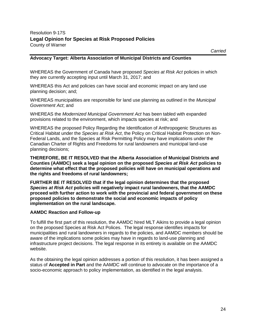#### **Advocacy Target: Alberta Association of Municipal Districts and Counties**

WHEREAS the Government of Canada have proposed *Species at Risk Act* policies in which they are currently accepting input until March 31, 2017; and

WHEREAS this Act and policies can have social and economic impact on any land use planning decision; and;

WHEREAS municipalities are responsible for land use planning as outlined in the *Municipal Government Act*; and

WHEREAS the *Modernized Municipal Government Act* has been tabled with expanded provisions related to the environment, which impacts species at risk; and

WHEREAS the proposed Policy Regarding the Identification of Anthropogenic Structures as Critical Habitat under the *Species at Risk Act*, the Policy on Critical Habitat Protection on Non-Federal Lands, and the Species at Risk Permitting Policy may have implications under the Canadian Charter of Rights and Freedoms for rural landowners and municipal land-use planning decisions;

**THEREFORE, BE IT RESOLVED that the Alberta Association of Municipal Districts and Counties (AAMDC) seek a legal opinion on the proposed** *Species at Risk Act* **policies to determine what effect that the proposed policies will have on municipal operations and the rights and freedoms of rural landowners;** 

**FURTHER BE IT RESOLVED that if the legal opinion determines that the proposed**  *Species at Risk Act* **policies will negatively impact rural landowners, that the AAMDC proceed with further action to work with the provincial and federal government on these proposed policies to demonstrate the social and economic impacts of policy implementation on the rural landscape.**

#### **AAMDC Reaction and Follow-up**

To fulfill the first part of this resolution, the AAMDC hired MLT Aikins to provide a legal opinion on the proposed Species at Risk Act Polices. The legal response identifies impacts for municipalities and rural landowners in regards to the policies, and AAMDC members should be aware of the implications some policies may have in regards to land-use planning and infrastructure project decisions. The legal response in its entirety is available on the AAMDC website.

As the obtaining the legal opinion addresses a portion of this resolution, it has been assigned a status of **Accepted in Part** and the AAMDC will continue to advocate on the importance of a socio-economic approach to policy implementation, as identified in the legal analysis.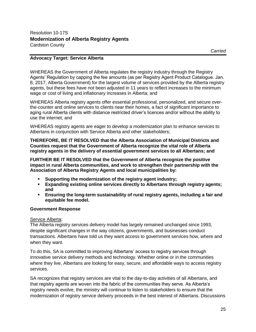#### **Advocacy Target: Service Alberta**

WHEREAS the Government of Alberta regulates the registry industry through the Registry Agents' Regulation by capping the fee amounts (as per Registry Agent Product Catalogue. Jan. 8, 2017, Alberta Government) for the largest volume of services provided by the Alberta registry agents, but these fees have not been adjusted in 11 years to reflect increases to the minimum wage or cost of living and inflationary increases in Alberta; and

WHEREAS Alberta registry agents offer essential professional, personalized, and secure overthe-counter and online services to clients near their homes, a fact of significant importance to aging rural Alberta clients with distance restricted driver's licences and/or without the ability to use the internet; and

WHEREAS registry agents are eager to develop a modernization plan to enhance services to Albertans in conjunction with Service Alberta and other stakeholders;

**THEREFORE, BE IT RESOLVED that the Alberta Association of Municipal Districts and Counties request that the Government of Alberta recognize the vital role of Alberta registry agents in the delivery of essential government services to all Albertans; and**

**FURTHER BE IT RESOLVED that the Government of Alberta recognize the positive impact in rural Alberta communities, and work to strengthen their partnership with the Association of Alberta Registry Agents and local municipalities by:** 

- Supporting the modernization of the registry agent industry;
- **Expanding existing online services directly to Albertans through registry agents; and**
- **Ensuring the long-term sustainability of rural registry agents, including a fair and equitable fee model.**

#### **Government Response**

#### Service Alberta:

The Alberta registry services delivery model has largely remained unchanged since 1993, despite significant changes in the way citizens, governments, and businesses conduct transactions. Albertans have told us they want access to government services how, where and when they want.

To do this, SA is committed to improving Albertans' access to registry services through innovative service delivery methods and technology. Whether online or in the communities where they live, Albertans are looking for easy, secure, and affordable ways to access registry services.

SA recognizes that registry services are vital to the day-to-day activities of all Albertans, and that registry agents are woven into the fabric of the communities they serve. As Alberta's registry needs evolve, the ministry will continue to listen to stakeholders to ensure that the modernization of registry service delivery proceeds in the best interest of Albertans. Discussions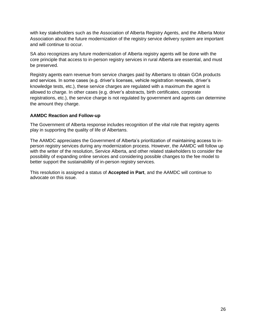with key stakeholders such as the Association of Alberta Registry Agents, and the Alberta Motor Association about the future modernization of the registry service delivery system are important and will continue to occur.

SA also recognizes any future modernization of Alberta registry agents will be done with the core principle that access to in-person registry services in rural Alberta are essential, and must be preserved.

Registry agents earn revenue from service charges paid by Albertans to obtain GOA products and services. In some cases (e.g. driver's licenses, vehicle registration renewals, driver's knowledge tests, etc.), these service charges are regulated with a maximum the agent is allowed to charge. In other cases (e.g. driver's abstracts, birth certificates, corporate registrations, etc.), the service charge is not regulated by government and agents can determine the amount they charge.

#### **AAMDC Reaction and Follow-up**

The Government of Alberta response includes recognition of the vital role that registry agents play in supporting the quality of life of Albertans.

The AAMDC appreciates the Government of Alberta's prioritization of maintaining access to inperson registry services during any modernization process. However, the AAMDC will follow up with the writer of the resolution, Service Alberta, and other related stakeholders to consider the possibility of expanding online services and considering possible changes to the fee model to better support the sustainability of in-person registry services.

This resolution is assigned a status of **Accepted in Part**, and the AAMDC will continue to advocate on this issue.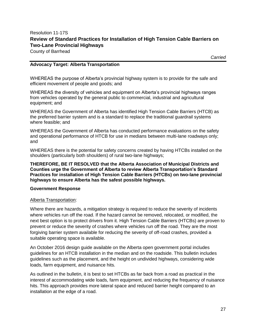### Resolution 11-17S **Review of Standard Practices for Installation of High Tension Cable Barriers on Two-Lane Provincial Highways**

County of Barrhead

*Carried*

#### **Advocacy Target: Alberta Transportation**

WHEREAS the purpose of Alberta's provincial highway system is to provide for the safe and efficient movement of people and goods; and

WHEREAS the diversity of vehicles and equipment on Alberta's provincial highways ranges from vehicles operated by the general public to commercial, industrial and agricultural equipment; and

WHEREAS the Government of Alberta has identified High Tension Cable Barriers (HTCB) as the preferred barrier system and is a standard to replace the traditional guardrail systems where feasible; and

WHEREAS the Government of Alberta has conducted performance evaluations on the safety and operational performance of HTCB for use in medians between multi-lane roadways only; and

WHEREAS there is the potential for safety concerns created by having HTCBs installed on the shoulders (particularly both shoulders) of rural two-lane highways;

**THEREFORE, BE IT RESOLVED that the Alberta Association of Municipal Districts and Counties urge the Government of Alberta to review Alberta Transportation's Standard Practices for installation of High Tension Cable Barriers (HTCBs) on two-lane provincial highways to ensure Alberta has the safest possible highways.**

#### **Government Response**

#### Alberta Transportation:

Where there are hazards, a mitigation strategy is required to reduce the severity of incidents where vehicles run off the road. If the hazard cannot be removed, relocated, or modified, the next best option is to protect drivers from it. High Tension Cable Barriers (HTCBs) are proven to prevent or reduce the severity of crashes where vehicles run off the road. They are the most forgiving barrier system available for reducing the severity of off-road crashes, provided a suitable operating space is available.

An October 2016 design guide available on the Alberta open government portal includes guidelines for an HTCB installation in the median and on the roadside. This bulletin includes guidelines such as the placement, and the height on undivided highways, considering wide loads, farm equipment, and nuisance hits.

As outlined in the bulletin, it is best to set HTCBs as far back from a road as practical in the interest of accommodating wide loads, farm equipment, and reducing the frequency of nuisance hits. This approach provides more lateral space and reduced barrier height compared to an installation at the edge of a road.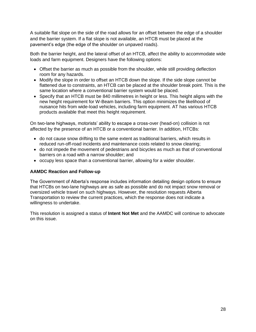A suitable flat slope on the side of the road allows for an offset between the edge of a shoulder and the barrier system. If a flat slope is not available, an HTCB must be placed at the pavement's edge (the edge of the shoulder on unpaved roads).

Both the barrier height, and the lateral offset of an HTCB, affect the ability to accommodate wide loads and farm equipment. Designers have the following options:

- Offset the barrier as much as possible from the shoulder, while still providing deflection room for any hazards.
- Modify the slope in order to offset an HTCB down the slope. If the side slope cannot be flattened due to constraints, an HTCB can be placed at the shoulder break point. This is the same location where a conventional barrier system would be placed.
- Specify that an HTCB must be 840 millimetres in height or less. This height aligns with the new height requirement for W-Beam barriers. This option minimizes the likelihood of nuisance hits from wide-load vehicles, including farm equipment. AT has various HTCB products available that meet this height requirement.

On two-lane highways, motorists' ability to escape a cross-over (head-on) collision is not affected by the presence of an HTCB or a conventional barrier. In addition, HTCBs:

- do not cause snow drifting to the same extent as traditional barriers, which results in reduced run-off-road incidents and maintenance costs related to snow clearing;
- do not impede the movement of pedestrians and bicycles as much as that of conventional barriers on a road with a narrow shoulder; and
- occupy less space than a conventional barrier, allowing for a wider shoulder.

#### **AAMDC Reaction and Follow-up**

The Government of Alberta's response includes information detailing design options to ensure that HTCBs on two-lane highways are as safe as possible and do not impact snow removal or oversized vehicle travel on such highways. However, the resolution requests Alberta Transportation to review the current practices, which the response does not indicate a willingness to undertake.

This resolution is assigned a status of **Intent Not Met** and the AAMDC will continue to advocate on this issue.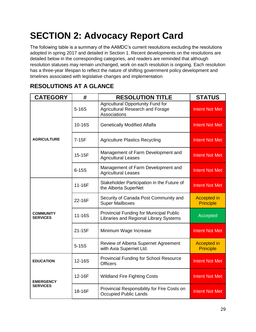# <span id="page-28-0"></span>**SECTION 2: Advocacy Report Card**

The following table is a summary of the AAMDC's current resolutions excluding the resolutions adopted in spring 2017 and detailed in Section 1. Recent developments on the resolutions are detailed below in the corresponding categories, and readers are reminded that although resolution statuses may remain unchanged, work on each resolution is ongoing. Each resolution has a three-year lifespan to reflect the nature of shifting government policy development and timelines associated with legislative changes and implementation.

| <b>CATEGORY</b>                     | #          | <b>RESOLUTION TITLE</b>                                                                             | <b>STATUS</b>                          |
|-------------------------------------|------------|-----------------------------------------------------------------------------------------------------|----------------------------------------|
| <b>AGRICULTURE</b>                  | $5-16S$    | <b>Agricultural Opportunity Fund for</b><br><b>Agricultural Research and Forage</b><br>Associations | <b>Intent Not Met</b>                  |
|                                     | 10-16S     | <b>Genetically Modified Alfalfa</b>                                                                 | <b>Intent Not Met</b>                  |
|                                     | $7-15F$    | <b>Agriculture Plastics Recycling</b>                                                               | <b>Intent Not Met</b>                  |
|                                     | 15-15F     | Management of Farm Development and<br><b>Agricultural Leases</b>                                    | <b>Intent Not Met</b>                  |
|                                     | $6 - 15S$  | Management of Farm Development and<br><b>Agricultural Leases</b>                                    | <b>Intent Not Met</b>                  |
| <b>COMMUNITY</b><br><b>SERVICES</b> | 11-16F     | Stakeholder Participation in the Future of<br>the Alberta SuperNet                                  | <b>Intent Not Met</b>                  |
|                                     | 22-16F     | Security of Canada Post Community and<br><b>Super Mailboxes</b>                                     | <b>Accepted in</b><br><b>Principle</b> |
|                                     | $11 - 16S$ | Provincial Funding for Municipal Public<br>Libraries and Regional Library Systems                   | Accepted                               |
|                                     | 21-15F     | Minimum Wage Increase                                                                               | <b>Intent Not Met</b>                  |
|                                     | $5-15S$    | Review of Alberta Supernet Agreement<br>with Axia Supernet Ltd.                                     | <b>Accepted in</b><br><b>Principle</b> |
| <b>EDUCATION</b>                    | 12-16S     | <b>Provincial Funding for School Resource</b><br><b>Officers</b>                                    | <b>Intent Not Met</b>                  |
| <b>EMERGENCY</b><br><b>SERVICES</b> | 12-16F     | <b>Wildland Fire Fighting Costs</b>                                                                 | <b>Intent Not Met</b>                  |
|                                     | 18-16F     | Provincial Responsibility for Fire Costs on<br><b>Occupied Public Lands</b>                         | <b>Intent Not Met</b>                  |

# **RESOLUTIONS AT A GLANCE**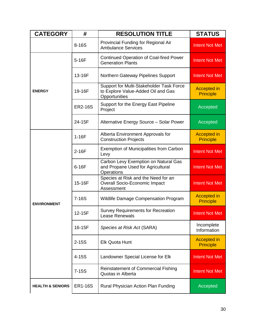| <b>CATEGORY</b>             | #              | <b>RESOLUTION TITLE</b>                                                                         | <b>STATUS</b>                          |
|-----------------------------|----------------|-------------------------------------------------------------------------------------------------|----------------------------------------|
|                             | 8-16S          | Provincial Funding for Regional Air<br><b>Ambulance Services</b>                                | <b>Intent Not Met</b>                  |
| <b>ENERGY</b>               | 5-16F          | <b>Continued Operation of Coal-fired Power</b><br><b>Generation Plants</b>                      | <b>Intent Not Met</b>                  |
|                             | 13-16F         | Northern Gateway Pipelines Support                                                              | <b>Intent Not Met</b>                  |
|                             | 19-16F         | Support for Multi-Stakeholder Task Force<br>to Explore Value-Added Oil and Gas<br>Opportunities | <b>Accepted in</b><br><b>Principle</b> |
|                             | <b>ER2-16S</b> | Support for the Energy East Pipeline<br>Project                                                 | Accepted                               |
|                             | 24-15F         | Alternative Energy Source - Solar Power                                                         | Accepted                               |
| <b>ENVIRONMENT</b>          | $1-16F$        | Alberta Environment Approvals for<br><b>Construction Projects</b>                               | <b>Accepted in</b><br><b>Principle</b> |
|                             | $2-16F$        | <b>Exemption of Municipalities from Carbon</b><br>Levy                                          | <b>Intent Not Met</b>                  |
|                             | 6-16F          | Carbon Levy Exemption on Natural Gas<br>and Propane Used for Agricultural<br>Operations         | <b>Intent Not Met</b>                  |
|                             | 15-16F         | Species at Risk and the Need for an<br><b>Overall Socio-Economic Impact</b><br>Assessment       | <b>Intent Not Met</b>                  |
|                             | $7-16S$        | <b>Wildlife Damage Compensation Program</b>                                                     | <b>Accepted in</b><br><b>Principle</b> |
|                             | 12-15F         | <b>Survey Requirements for Recreation</b><br>Lease Renewals                                     | <b>Intent Not Met</b>                  |
|                             | 16-15F         | Species at Risk Act (SARA)                                                                      | Incomplete<br>Information              |
|                             | $2 - 15S$      | <b>Elk Quota Hunt</b>                                                                           | <b>Accepted in</b><br><b>Principle</b> |
|                             | 4-15S          | Landowner Special License for Elk                                                               | <b>Intent Not Met</b>                  |
|                             | $7 - 15S$      | <b>Reinstatement of Commercial Fishing</b><br>Quotas in Alberta                                 | <b>Intent Not Met</b>                  |
| <b>HEALTH &amp; SENIORS</b> | <b>ER1-16S</b> | Rural Physician Action Plan Funding                                                             | Accepted                               |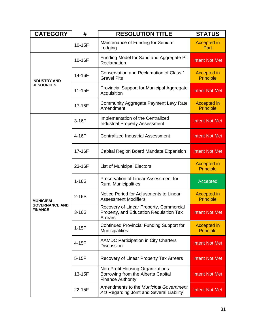| <b>CATEGORY</b>                                             | #       | <b>RESOLUTION TITLE</b>                                                                            | <b>STATUS</b>                          |
|-------------------------------------------------------------|---------|----------------------------------------------------------------------------------------------------|----------------------------------------|
|                                                             | 10-15F  | Maintenance of Funding for Seniors'<br>Lodging                                                     | <b>Accepted in</b><br>Part             |
| <b>INDUSTRY AND</b>                                         | 10-16F  | Funding Model for Sand and Aggregate Pit<br>Reclamation                                            | <b>Intent Not Met</b>                  |
|                                                             | 14-16F  | Conservation and Reclamation of Class 1<br><b>Gravel Pits</b>                                      | <b>Accepted in</b><br><b>Principle</b> |
| <b>RESOURCES</b>                                            | 11-15F  | Provincial Support for Municipal Aggregate<br>Acquisition                                          | <b>Intent Not Met</b>                  |
|                                                             | 17-15F  | <b>Community Aggregate Payment Levy Rate</b><br>Amendment                                          | <b>Accepted in</b><br><b>Principle</b> |
|                                                             | 3-16F   | Implementation of the Centralized<br><b>Industrial Property Assessment</b>                         | <b>Intent Not Met</b>                  |
| <b>MUNICIPAL</b><br><b>GOVERNANCE AND</b><br><b>FINANCE</b> | 4-16F   | <b>Centralized Industrial Assessment</b>                                                           | <b>Intent Not Met</b>                  |
|                                                             | 17-16F  | Capital Region Board Mandate Expansion                                                             | <b>Intent Not Met</b>                  |
|                                                             | 23-16F  | <b>List of Municipal Electors</b>                                                                  | <b>Accepted in</b><br><b>Principle</b> |
|                                                             | $1-16S$ | Preservation of Linear Assessment for<br><b>Rural Municipalities</b>                               | Accepted                               |
|                                                             | $2-16S$ | Notice Period for Adjustments to Linear<br><b>Assessment Modifiers</b>                             | <b>Accepted in</b><br><b>Principle</b> |
|                                                             | $3-16S$ | Recovery of Linear Property, Commercial<br>Property, and Education Requisition Tax<br>Arrears      | <b>Intent Not Met</b>                  |
|                                                             | $1-15F$ | <b>Continued Provincial Funding Support for</b><br><b>Municipalities</b>                           | <b>Accepted in</b><br><b>Principle</b> |
|                                                             | 4-15F   | <b>AAMDC Participation in City Charters</b><br><b>Discussion</b>                                   | <b>Intent Not Met</b>                  |
|                                                             | $5-15F$ | Recovery of Linear Property Tax Arrears                                                            | Intent Not Met                         |
|                                                             | 13-15F  | Non-Profit Housing Organizations<br>Borrowing from the Alberta Capital<br><b>Finance Authority</b> | Intent Not Met                         |
|                                                             | 22-15F  | Amendments to the Municipal Government<br>Act Regarding Joint and Several Liability                | <b>Intent Not Met</b>                  |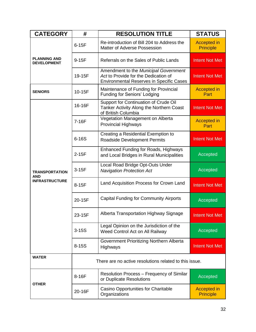| <b>CATEGORY</b>                                              | #                                                      | <b>RESOLUTION TITLE</b>                                                                                                          | <b>STATUS</b>                          |
|--------------------------------------------------------------|--------------------------------------------------------|----------------------------------------------------------------------------------------------------------------------------------|----------------------------------------|
| <b>PLANNING AND</b><br><b>DEVELOPMENT</b>                    | $6-15F$                                                | Re-introduction of Bill 204 to Address the<br>Matter of Adverse Possession                                                       | <b>Accepted in</b><br><b>Principle</b> |
|                                                              | 9-15F                                                  | Referrals on the Sales of Public Lands                                                                                           | <b>Intent Not Met</b>                  |
|                                                              | 19-15F                                                 | Amendment to the Municipal Government<br>Act to Provide for the Dedication of<br><b>Environmental Reserves in Specific Cases</b> | <b>Intent Not Met</b>                  |
| <b>SENIORS</b>                                               | 10-15F                                                 | Maintenance of Funding for Provincial<br><b>Funding for Seniors' Lodging</b>                                                     | <b>Accepted in</b><br>Part             |
|                                                              | 16-16F                                                 | Support for Continuation of Crude Oil<br>Tanker Activity Along the Northern Coast<br>of British Columbia                         | <b>Intent Not Met</b>                  |
|                                                              | 7-16F                                                  | Vegetation Management on Alberta<br><b>Provincial Highways</b>                                                                   | <b>Accepted in</b><br>Part             |
| <b>TRANSPORTATION</b><br><b>AND</b><br><b>INFRASTRUCTURE</b> | $6-16S$                                                | Creating a Residential Exemption to<br><b>Roadside Development Permits</b>                                                       | <b>Intent Not Met</b>                  |
|                                                              | $2-15F$                                                | <b>Enhanced Funding for Roads, Highways</b><br>and Local Bridges in Rural Municipalities                                         | Accepted                               |
|                                                              | $3-15F$                                                | Local Road Bridge Opt-Outs Under<br><b>Navigation Protection Act</b>                                                             | Accepted                               |
|                                                              | 8-15F                                                  | Land Acquisition Process for Crown Land                                                                                          | <b>Intent Not Met</b>                  |
|                                                              | 20-15F                                                 | <b>Capital Funding for Community Airports</b>                                                                                    | Accepted                               |
|                                                              | 23-15F                                                 | Alberta Transportation Highway Signage                                                                                           | <b>Intent Not Met</b>                  |
|                                                              | $3-15S$                                                | Legal Opinion on the Jurisdiction of the<br>Weed Control Act on All Railway                                                      | Accepted                               |
|                                                              | $8 - 15S$                                              | Government Prioritizing Northern Alberta<br>Highways                                                                             | <b>Intent Not Met</b>                  |
| <b>WATER</b>                                                 | There are no active resolutions related to this issue. |                                                                                                                                  |                                        |
| <b>OTHER</b>                                                 | 8-16F                                                  | Resolution Process – Frequency of Similar<br>or Duplicate Resolutions                                                            | Accepted                               |
|                                                              | 20-16F                                                 | Casino Opportunities for Charitable<br>Organizations                                                                             | <b>Accepted in</b><br><b>Principle</b> |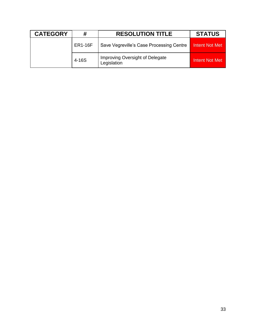| <b>CATEGORY</b> | #              | <b>RESOLUTION TITLE</b>                        | <b>STATUS</b>  |
|-----------------|----------------|------------------------------------------------|----------------|
|                 | <b>ER1-16F</b> | Save Vegreville's Case Processing Centre       | Intent Not Met |
|                 | 4-16S          | Improving Oversight of Delegate<br>Legislation | Intent Not Met |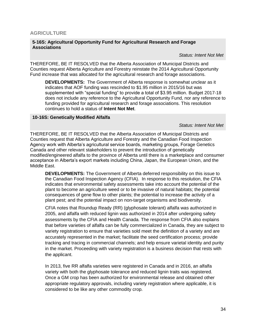#### <span id="page-33-0"></span>**5-16S: Agricultural Opportunity Fund for Agricultural Research and Forage Associations**

*Status: Intent Not Met*

THEREFORE, BE IT RESOLVED that the Alberta Association of Municipal Districts and Counties request Alberta Agriculture and Forestry reinstate the 2014 Agricultural Opportunity Fund increase that was allocated for the agricultural research and forage associations.

**DEVELOPMENTS:** The Government of Alberta response is somewhat unclear as it indicates that AOF funding was rescinded to \$1.95 million in 2015/16 but was supplemented with "special funding" to provide a total of \$3.95 million. Budget 2017-18 does not include any reference to the Agricultural Opportunity Fund, nor any reference to funding provided for agricultural research and forage associations. This resolution continues to hold a status of **Intent Not Met**.

#### **10-16S: Genetically Modified Alfalfa**

*Status: Intent Not Met*

THEREFORE, BE IT RESOLVED that the Alberta Association of Municipal Districts and Counties request that Alberta Agriculture and Forestry and the Canadian Food Inspection Agency work with Alberta's agricultural service boards, marketing groups, Forage Genetics Canada and other relevant stakeholders to prevent the introduction of genetically modified/engineered alfalfa to the province of Alberta until there is a marketplace and consumer acceptance in Alberta's export markets including China, Japan, the European Union, and the Middle East.

**DEVELOPMENTS:** The Government of Alberta deferred responsibility on this issue to the Canadian Food Inspection Agency (CFIA). In response to this resolution, the CFIA indicates that environmental safety assessments take into account the potential of the plant to become an agriculture weed or to be invasive of natural habitats; the potential consequences of gene flow to other plants; the potential to increase the activity of a plant pest; and the potential impact on non-target organisms and biodiversity.

CFIA notes that Roundup Ready (RR) (glyphosate tolerant) alfalfa was authorized in 2005, and alfalfa with reduced lignin was authorized in 2014 after undergoing safety assessments by the CFIA and Health Canada. The response from CFIA also explains that before varieties of alfalfa can be fully commercialized in Canada, they are subject to variety registration to ensure that varieties sold meet the definition of a variety and are accurately represented in the market; facilitate the seed certification process; provide tracking and tracing in commercial channels; and help ensure varietal identity and purity in the market. Proceeding with variety registration is a business decision that rests with the applicant.

In 2013, five RR alfalfa varieties were registered in Canada and in 2016, an alfalfa variety with both the glyphosate tolerance and reduced lignin traits was registered. Once a GM crop has been authorized for environmental release and obtained other appropriate regulatory approvals, including variety registration where applicable, it is considered to be like any other commodity crop.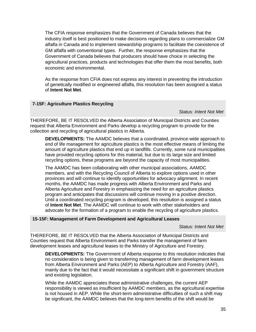The CFIA response emphasizes that the Government of Canada believes that the industry itself is best positioned to make decisions regarding plans to commercialize GM alfalfa in Canada and to implement stewardship programs to facilitate the coexistence of GM alfalfa with conventional types. Further, the response emphasizes that the Government of Canada believes that producers should have choice in selecting the agricultural practices, products and technologies that offer them the most benefits, both economic and environmental.

As the response from CFIA does not express any interest in preventing the introduction of genetically modified or engineered alfalfa, this resolution has been assigned a status of **Intent Not Met**.

#### **7-15F: Agriculture Plastics Recycling**

*Status: Intent Not Met*

THEREFORE, BE IT RESOLVED the Alberta Association of Municipal Districts and Counties request that Alberta Environment and Parks develop a recycling program to provide for the collection and recycling of agricultural plastics in Alberta.

**DEVELOPMENTS:** The AAMDC believes that a coordinated, province-wide approach to end of life management for agriculture plastics is the most effective means of limiting the amount of agriculture plastics that end up in landfills. Currently, some rural municipalities have provided recycling options for this material, but due to its large size and limited recycling options, these programs are beyond the capacity of most municipalities.

The AAMDC has been collaborating with other municipal associations, AAMDC members, and with the Recycling Council of Alberta to explore options used in other provinces and will continue to identify opportunities for advocacy alignment. In recent months, the AAMDC has made progress with Alberta Environment and Parks and Alberta Agriculture and Forestry in emphasizing the need for an agriculture plastics program and anticipates that discussions will continue moving in a positive direction. Until a coordinated recycling program is developed, this resolution is assigned a status of **Intent Not Met**. The AAMDC will continue to work with other stakeholders and advocate for the formation of a program to enable the recycling of agriculture plastics.

#### **15-15F: Management of Farm Development and Agricultural Leases**

*Status: Intent Not Met*

THEREFORE, BE IT RESOLVED that the Alberta Association of Municipal Districts and Counties request that Alberta Environment and Parks transfer the management of farm development leases and agricultural leases to the Ministry of Agriculture and Forestry.

**DEVELOPMENTS:** The Government of Alberta response to this resolution indicates that no consideration is being given to transferring management of farm development leases from Alberta Environment and Parks (AEP) to Alberta Agriculture and Forestry (AAF), mainly due to the fact that it would necessitate a significant shift in government structure and existing legislation.

While the AAMDC appreciates these administrative challenges, the current AEP responsibility is viewed as insufficient by AAMDC members, as the agricultural expertise is not housed in AEP. While the short-term administrative difficulties of such a shift may be significant, the AAMDC believes that the long-term benefits of the shift would be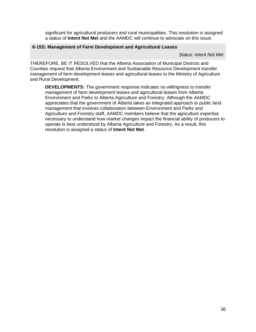significant for agricultural producers and rural municipalities. This resolution is assigned a status of **Intent Not Met** and the AAMDC will continue to advocate on this issue.

#### **6-15S: Management of Farm Development and Agricultural Leases**

#### *Status: Intent Not Met*

THEREFORE, BE IT RESOLVED that the Alberta Association of Municipal Districts and Counties request that Alberta Environment and Sustainable Resource Development transfer management of farm development leases and agricultural leases to the Ministry of Agriculture and Rural Development.

**DEVELOPMENTS:** The government response indicates no willingness to transfer management of farm development leases and agricultural leases from Alberta Environment and Parks to Alberta Agriculture and Forestry. Although the AAMDC appreciates that the government of Alberta takes an integrated approach to public land management that involves collaboration between Environment and Parks and Agriculture and Forestry staff, AAMDC members believe that the agriculture expertise necessary to understand how market changes impact the financial ability of producers to operate is best understood by Alberta Agriculture and Forestry. As a result, this resolution is assigned a status of **Intent Not Met**.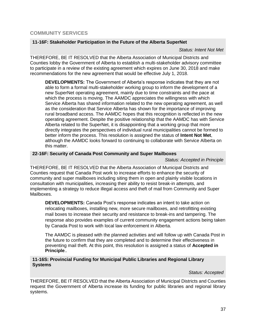#### <span id="page-36-0"></span>**COMMUNITY SERVICES**

#### **11-16F: Stakeholder Participation in the Future of the Alberta SuperNet**

*Status: Intent Not Met*

THEREFORE, BE IT RESOLVED that the Alberta Association of Municipal Districts and Counties lobby the Government of Alberta to establish a multi-stakeholder advisory committee to participate in a review of the existing agreement which expires on June 30, 2018 and make recommendations for the new agreement that would be effective July 1, 2018.

**DEVELOPMENTS:** The Government of Alberta's response indicates that they are not able to form a formal multi-stakeholder working group to inform the development of a new SuperNet operating agreement, mainly due to time constraints and the pace at which the process is moving. The AAMDC appreciates the willingness with which Service Alberta has shared information related to the new operating agreement, as well as the consideration that Service Alberta has shown for the importance of improving rural broadband access. The AAMDC hopes that this recognition is reflected in the new operating agreement. Despite the positive relationship that the AAMDC has with Service Alberta related to the SuperNet, it is disappointing that a working group that more directly integrates the perspectives of individual rural municipalities cannot be formed to better inform the process. This resolution is assigned the status of **Intent Not Met**, although the AAMDC looks forward to continuing to collaborate with Service Alberta on this matter.

#### **22-16F: Security of Canada Post Community and Super Mailboxes**

#### *Status: Accepted in Principle*

THEREFORE, BE IT RESOLVED that the Alberta Association of Municipal Districts and Counties request that Canada Post work to increase efforts to enhance the security of community and super mailboxes including siting them in open and plainly visible locations in consultation with municipalities, increasing their ability to resist break-in attempts, and implementing a strategy to reduce illegal access and theft of mail from Community and Super Mailboxes.

**DEVELOPMENTS:** Canada Post's response indicates an intent to take action on relocating mailboxes, installing new, more secure mailboxes, and retrofitting existing mail boxes to increase their security and resistance to break-ins and tampering. The response also provides examples of current community engagement actions being taken by Canada Post to work with local law enforcement in Alberta.

The AAMDC is pleased with the planned activities and will follow up with Canada Post in the future to confirm that they are completed and to determine their effectiveness in preventing mail theft. At this point, this resolution is assigned a status of **Accepted in Principle**..

#### **11-16S: Provincial Funding for Municipal Public Libraries and Regional Library Systems**

#### *Status: Accepted*

THEREFORE, BE IT RESOLVED that the Alberta Association of Municipal Districts and Counties request the Government of Alberta increase its funding for public libraries and regional library systems.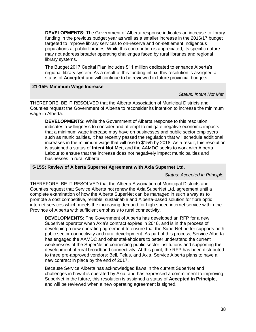**DEVELOPMENTS:** The Government of Alberta response indicates an increase to library funding in the previous budget year as well as a smaller increase in the 2016/17 budget targeted to improve library services to on-reserve and on-settlement Indigenous populations at public libraries. While this contribution is appreciated, its specific nature may not address broader operating challenges faced by rural libraries and regional library systems.

The Budget 2017 Capital Plan includes \$11 million dedicated to enhance Alberta's regional library system. As a result of this funding influx, this resolution is assigned a status of **Accepted** and will continue to be reviewed in future provincial budgets.

#### **21-15F: Minimum Wage Increase**

#### *Status: Intent Not Met*

THEREFORE, BE IT RESOLVED that the Alberta Association of Municipal Districts and Counties request the Government of Alberta to reconsider its intention to increase the minimum wage in Alberta.

**DEVELOPMENTS**: While the Government of Alberta response to this resolution indicates a willingness to consider and attempt to mitigate negative economic impacts that a minimum wage increase may have on businesses and public sector employers such as municipalities, it has recently passed the regulation that will schedule additional increases in the minimum wage that will rise to \$15/h by 2018. As a result, this resolution is assigned a status of **Intent Not Met**, and the AAMDC seeks to work with Alberta Labour to ensure that the increase does not negatively impact municipalities and businesses in rural Alberta.

#### **5-15S: Review of Alberta Supernet Agreement with Axia Supernet Ltd.**

#### *Status: Accepted in Principle*

THEREFORE, BE IT RESOLVED that the Alberta Association of Municipal Districts and Counties request that Service Alberta not renew the Axia SuperNet Ltd. agreement until a complete examination of how the Alberta SuperNet can be managed in such a way as to promote a cost competitive, reliable, sustainable and Alberta-based solution for fibre optic internet services which meets the increasing demand for high speed internet service within the Province of Alberta with sufficient emphasis to rural connectivity.

**DEVELOPMENTS**: The Government of Alberta has developed an RFP for a new SuperNet operator when Axia's contract expires in 2018, and is in the process of developing a new operating agreement to ensure that the SuperNet better supports both pubic sector connectivity and rural development. As part of this process, Service Alberta has engaged the AAMDC and other stakeholders to better understand the current weaknesses of the SuperNet in connecting public sector institutions and supporting the development of rural broadband connectivity. At this point, the RFP has been distributed to three pre-approved vendors: Bell, Telus, and Axia. Service Alberta plans to have a new contract in place by the end of 2017.

Because Service Alberta has acknowledged flaws in the current SuperNet and challenges in how it is operated by Axia, and has expressed a commitment to improving SuperNet in the future, this resolution is assigned a status of **Accepted in Principle**, and will be reviewed when a new operating agreement is signed.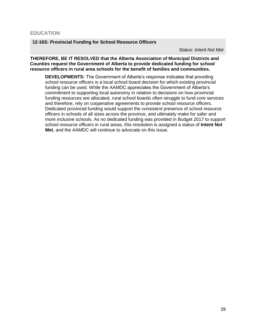#### <span id="page-38-0"></span>**EDUCATION**

#### **12-16S: Provincial Funding for School Resource Officers**

*Status: Intent Not Met*

#### **THEREFORE, BE IT RESOLVED that the Alberta Association of Municipal Districts and Counties request the Government of Alberta to provide dedicated funding for school resource officers in rural area schools for the benefit of families and communities.**

**DEVELOPMENTS:** The Government of Alberta's response indicates that providing school resource officers is a local school board decision for which existing provincial funding can be used. While the AAMDC appreciates the Government of Alberta's commitment to supporting local autonomy in relation to decisions on how provincial funding resources are allocated, rural school boards often struggle to fund core services and therefore, rely on cooperative agreements to provide school resource officers. Dedicated provincial funding would support the consistent presence of school resource officers in schools of all sizes across the province, and ultimately make for safer and more inclusive schools. As no dedicated funding was provided in Budget 2017 to support school resource officers in rural areas, this resolution is assigned a status of **Intent Not Met**, and the AAMDC will continue to advocate on this issue.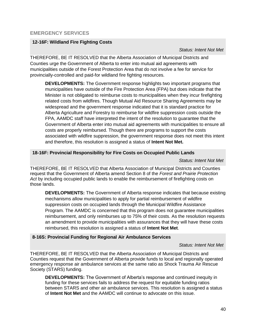#### <span id="page-39-0"></span>**12-16F: Wildland Fire Fighting Costs**

 *Status: Intent Not Met*

THEREFORE, BE IT RESOLVED that the Alberta Association of Municipal Districts and Counties urge the Government of Alberta to enter into mutual aid agreements with municipalities outside of the Forest Protection Area that do not involve a fee for service for provincially-controlled and paid-for wildland fire fighting resources.

**DEVELOPMENTS:** The Government response highlights two important programs that municipalities have outside of the Fire Protection Area (FPA) but does indicate that the Minister is not obligated to reimburse costs to municipalities when they incur firefighting related costs from wildfires. Though Mutual Aid Resource Sharing Agreements may be widespread and the government response indicated that it is standard practice for Alberta Agriculture and Forestry to reimburse for wildfire suppression costs outside the FPA, AAMDC staff have interpreted the intent of the resolution to guarantee that the Government of Alberta enter into mutual aid agreements with municipalities to ensure all costs are properly reimbursed. Though there are programs to support the costs associated with wildfire suppression, the government response does not meet this intent and therefore, this resolution is assigned a status of **Intent Not Met.** 

#### **18-16F: Provincial Responsibility for Fire Costs on Occupied Public Lands**

#### *Status: Intent Not Met*

THEREFORE, BE IT RESOLVED that Alberta Association of Municipal Districts and Counties request that the Government of Alberta amend Section 8 of the *Forest and Prairie Protection Act* by including occupied public lands to enable the reimbursement of firefighting costs on those lands.

**DEVELOPMENTS:** The Government of Alberta response indicates that because existing mechanisms allow municipalities to apply for partial reimbursement of wildfire suppression costs on occupied lands through the Municipal Wildfire Assistance Program. The AAMDC is concerned that this program does not guarantee municipalities reimbursement, and only reimburses up to 75% of their costs. As the resolution requests an amendment to provide municipalities with assurances that they will have these costs reimbursed, this resolution is assigned a status of **Intent Not Met**.

#### **8-16S: Provincial Funding for Regional Air Ambulance Services**

#### *Status: Intent Not Met*

THEREFORE, BE IT RESOLVED that the Alberta Association of Municipal Districts and Counties request that the Government of Alberta provide funds to local and regionally operated emergency response air ambulance services at the same ratio as Shock Trauma Air Rescue Society (STARS) funding.

**DEVELOPMENTS:** The Government of Alberta's response and continued inequity in funding for these services fails to address the request for equitable funding ratios between STARS and other air ambulance services. This resolution is assigned a status of **Intent Not Met** and the AAMDC will continue to advocate on this issue.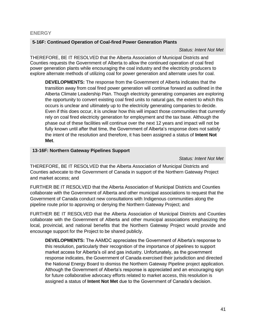#### <span id="page-40-0"></span>**ENERGY**

#### **5-16F: Continued Operation of Coal-fired Power Generation Plants**

#### *Status: Intent Not Met*

THEREFORE, BE IT RESOLVED that the Alberta Association of Municipal Districts and Counties requests the Government of Alberta to allow the continued operation of coal fired power generation plants while encouraging the coal industry and the electricity producers to explore alternate methods of utilizing coal for power generation and alternate uses for coal.

**DEVELOPMENTS:** The response from the Government of Alberta indicates that the transition away from coal fired power generation will continue forward as outlined in the Alberta Climate Leadership Plan. Though electricity generating companies are exploring the opportunity to convert existing coal fired units to natural gas, the extent to which this occurs is unclear and ultimately up to the electricity generating companies to decide. Even if this does occur, it is unclear how this will impact those communities that currently rely on coal fired electricity generation for employment and the tax base. Although the phase out of these facilities will continue over the next 12 years and impact will not be fully known until after that time, the Government of Alberta's response does not satisfy the intent of the resolution and therefore, it has been assigned a status of **Intent Not Met**.

#### **13-16F: Northern Gateway Pipelines Support**

*Status: Intent Not Met*

THEREFORE, BE IT RESOLVED that the Alberta Association of Municipal Districts and Counties advocate to the Government of Canada in support of the Northern Gateway Project and market access; and

FURTHER BE IT RESOLVED that the Alberta Association of Municipal Districts and Counties collaborate with the Government of Alberta and other municipal associations to request that the Government of Canada conduct new consultations with Indigenous communities along the pipeline route prior to approving or denying the Northern Gateway Project; and

FURTHER BE IT RESOLVED that the Alberta Association of Municipal Districts and Counties collaborate with the Government of Alberta and other municipal associations emphasizing the local, provincial, and national benefits that the Northern Gateway Project would provide and encourage support for the Project to be shared publicly.

**DEVELOPMENTS:** The AAMDC appreciates the Government of Alberta's response to this resolution, particularly their recognition of the importance of pipelines to support market access for Alberta's oil and gas industry. Unfortunately, as the government response indicates, the Government of Canada exercised their jurisdiction and directed the National Energy Board to dismiss the Northern Gateway Pipeline project application. Although the Government of Alberta's response is appreciated and an encouraging sign for future collaborative advocacy efforts related to market access, this resolution is assigned a status of **Intent Not Met** due to the Government of Canada's decision.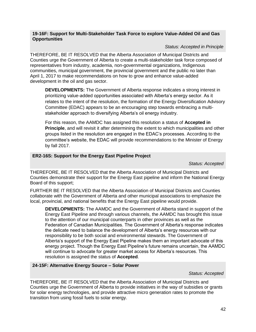#### **19-16F: Support for Multi-Stakeholder Task Force to explore Value-Added Oil and Gas Opportunities**

#### *Status: Accepted in Principle*

THEREFORE, BE IT RESOLVED that the Alberta Association of Municipal Districts and Counties urge the Government of Alberta to create a multi-stakeholder task force composed of representatives from industry, academia, non-governmental organizations, Indigenous communities, municipal government, the provincial government and the public no later than April 1, 2017 to make recommendations on how to grow and enhance value-added development in the oil and gas sector.

**DEVELOPMENTS:** The Government of Alberta response indicates a strong interest in prioritizing value-added opportunities associated with Alberta's energy sector. As it relates to the intent of the resolution, the formation of the Energy Diversification Advisory Committee (EDAC) appears to be an encouraging step towards embracing a multistakeholder approach to diversifying Alberta's oil energy industry.

For this reason, the AAMDC has assigned this resolution a status of **Accepted in Principle**, and will revisit it after determining the extent to which municipalities and other groups listed in the resolution are engaged in the EDAC's processes. According to the committee's website, the EDAC will provide recommendations to the Minister of Energy by fall 2017.

#### **ER2-16S: Support for the Energy East Pipeline Project**

*Status: Accepted*

THEREFORE, BE IT RESOLVED that the Alberta Association of Municipal Districts and Counties demonstrate their support for the Energy East pipeline and inform the National Energy Board of this support;

FURTHER BE IT RESOLVED that the Alberta Association of Municipal Districts and Counties collaborate with the Government of Alberta and other municipal associations to emphasize the local, provincial, and national benefits that the Energy East pipeline would provide.

**DEVELOPMENTS:** The AAMDC and the Government of Alberta stand in support of the Energy East Pipeline and through various channels, the AAMDC has brought this issue to the attention of our municipal counterparts in other provinces as well as the Federation of Canadian Municipalities. The Government of Alberta's response indicates the delicate need to balance the development of Alberta's energy resources with our responsibility to be both social and environmental stewards. The Government of Alberta's support of the Energy East Pipeline makes them an important advocate of this energy project. Though the Energy East Pipeline's future remains uncertain, the AAMDC will continue to advocate for greater market access for Alberta's resources. This resolution is assigned the status of **Accepted**.

#### **24-15F: Alternative Energy Source – Solar Power**

#### *Status: Accepted*

THEREFORE, BE IT RESOLVED that the Alberta Association of Municipal Districts and Counties urge the Government of Alberta to provide initiatives in the way of subsidies or grants for solar energy technologies, and provide attractive micro generation rates to promote the transition from using fossil fuels to solar energy.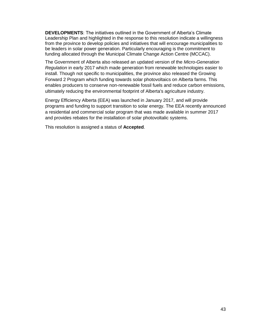**DEVELOPMENTS**: The initiatives outlined in the Government of Alberta's Climate Leadership Plan and highlighted in the response to this resolution indicate a willingness from the province to develop policies and initiatives that will encourage municipalities to be leaders in solar power generation. Particularly encouraging is the commitment to funding allocated through the Municipal Climate Change Action Centre (MCCAC).

The Government of Alberta also released an updated version of the *Micro-Generation Regulation* in early 2017 which made generation from renewable technologies easier to install. Though not specific to municipalities, the province also released the Growing Forward 2 Program which funding towards solar photovoltaics on Alberta farms. This enables producers to conserve non-renewable fossil fuels and reduce carbon emissions, ultimately reducing the environmental footprint of Alberta's agriculture industry.

Energy Efficiency Alberta (EEA) was launched in January 2017, and will provide programs and funding to support transition to solar energy. The EEA recently announced a residential and commercial solar program that was made available in summer 2017 and provides rebates for the installation of solar photovoltalic systems.

This resolution is assigned a status of **Accepted**.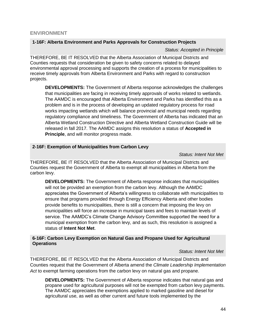#### <span id="page-43-0"></span>**ENVIRONMENT**

#### **1-16F: Alberta Environment and Parks Approvals for Construction Projects**

*Status: Accepted in Principle*

THEREFORE, BE IT RESOLVED that the Alberta Association of Municipal Districts and Counties requests that consideration be given to safety concerns related to delayed environmental approval processing and supports the creation of a process for municipalities to receive timely approvals from Alberta Environment and Parks with regard to construction projects.

**DEVELOPMENTS:** The Government of Alberta response acknowledges the challenges that municipalities are facing in receiving timely approvals of works related to wetlands. The AAMDC is encouraged that Alberta Environment and Parks has identified this as a problem and is in the process of developing an updated regulatory process for road works impacting wetlands which will balance provincial and municipal needs regarding regulatory compliance and timeliness. The Government of Alberta has indicated that an Alberta Wetland Construction Directive and Alberta Wetland Construction Guide will be released in fall 2017. The AAMDC assigns this resolution a status of **Accepted in Principle**, and will monitor progress made.

#### **2-16F: Exemption of Municipalities from Carbon Levy**

*Status: Intent Not Met*

THEREFORE, BE IT RESOLVED that the Alberta Association of Municipal Districts and Counties request the Government of Alberta to exempt all municipalities in Alberta from the carbon levy.

**DEVELOPMENTS:** The Government of Alberta response indicates that municipalities will not be provided an exemption from the carbon levy. Although the AAMDC appreciates the Government of Alberta's willingness to collaborate with municipalities to ensure that programs provided through Energy Efficiency Alberta and other bodies provide benefits to municipalities, there is still a concern that imposing the levy on municipalities will force an increase in municipal taxes and fees to maintain levels of service. The AAMDC's Climate Change Advisory Committee supported the need for a municipal exemption from the carbon levy, and as such, this resolution is assigned a status of **Intent Not Met**.

#### **6-16F: Carbon Levy Exemption on Natural Gas and Propane Used for Agricultural Operations**

#### *Status: Intent Not Met*

THEREFORE, BE IT RESOLVED that the Alberta Association of Municipal Districts and Counties request that the Government of Alberta amend the *Climate Leadership Implementation Act* to exempt farming operations from the carbon levy on natural gas and propane.

**DEVELOPMENTS:** The Government of Alberta response indicates that natural gas and propane used for agricultural purposes will not be exempted from carbon levy payments. The AAMDC appreciates the exemptions applied to marked gasoline and diesel for agricultural use, as well as other current and future tools implemented by the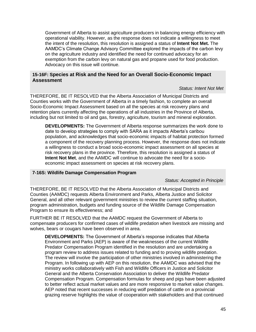Government of Alberta to assist agriculture producers in balancing energy efficiency with operational viability. However, as the response does not indicate a willingness to meet the intent of the resolution, this resolution is assigned a status of **Intent Not Met.** The AAMDC's Climate Change Advisory Committee explored the impacts of the carbon levy on the agriculture industry and identified the need for continued advocacy for an exemption from the carbon levy on natural gas and propane used for food production. Advocacy on this issue will continue.

#### **15-16F: Species at Risk and the Need for an Overall Socio-Economic Impact Assessment**

#### *Status: Intent Not Met*

THEREFORE, BE IT RESOLVED that the Alberta Association of Municipal Districts and Counties works with the Government of Alberta in a timely fashion, to complete an overall Socio-Economic Impact Assessment based on all the species at risk recovery plans and retention plans currently affecting the operations of all industries in the Province of Alberta, including but not limited to oil and gas, forestry, agriculture, tourism and mineral exploration.

**DEVELOPMENTS:** The Government of Alberta response summarizes the work done to date to develop strategies to comply with SARA as it impacts Alberta's caribou population, and acknowledges that socio-economic impacts of habitat protection formed a component of the recovery planning process. However, the response does not indicate a willingness to conduct a broad socio-economic impact assessment on all species at risk recovery plans in the province. Therefore, this resolution is assigned a status of **Intent Not Met**, and the AAMDC will continue to advocate the need for a socioeconomic impact assessment on species at risk recovery plans.

#### **7-16S: Wildlife Damage Compensation Program**

#### *Status: Accepted in Principle*

THEREFORE, BE IT RESOLVED that the Alberta Association of Municipal Districts and Counties (AAMDC) requests Alberta Environment and Parks, Alberta Justice and Solicitor General, and all other relevant government ministries to review the current staffing situation, program administration, budgets and funding source of the Wildlife Damage Compensation Program to ensure its effectiveness; and

FURTHER BE IT RESOLVED that the AAMDC request the Government of Alberta to compensate producers for confirmed cases of wildlife predation when livestock are missing and wolves, bears or cougars have been observed in area.

**DEVELOPMENTS:** The Government of Alberta's response indicates that Alberta Environment and Parks (AEP) is aware of the weaknesses of the current Wildlife Predator Compensation Program identified in the resolution and are undertaking a program review to address issues related to funding and to proving wildlife predation. The review will involve the participation of other ministries involved in administering the Program. In following up with AEP on this resolution, the AAMDC was advised that the ministry works collaboratively with Fish and Wildlife Officers in Justice and Solicitor General and the Alberta Conservation Association to deliver the Wildlife Predator Compensation Program. Compensation formulas for sheep and pigs have been adjusted to better reflect actual market values and are more responsive to market value changes. AEP noted that recent successes in reducing wolf predation of cattle on a provincial grazing reserve highlights the value of cooperation with stakeholders and that continued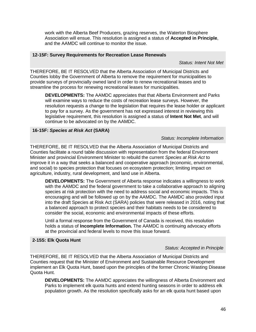work with the Alberta Beef Producers, grazing reserves, the Waterton Biosphere Association will ensue. This resolution is assigned a status of **Accepted in Principle**, and the AAMDC will continue to monitor the issue.

#### **12-15F: Survey Requirements for Recreation Lease Renewals**

*Status: Intent Not Met*

THEREFORE, BE IT RESOLVED that the Alberta Association of Municipal Districts and Counties lobby the Government of Alberta to remove the requirement for municipalities to provide surveys of provincially owned land in order to renew recreational leases and to streamline the process for renewing recreational leases for municipalities.

**DEVELOPMENTS:** The AAMDC appreciates that that Alberta Environment and Parks will examine ways to reduce the costs of recreation lease surveys. However, the resolution requests a change to the legislation that requires the lease holder or applicant to pay for a survey. As the government has not expressed interest in reviewing this legislative requirement, this resolution is assigned a status of **Intent Not Met**, and will continue to be advocated on by the AAMDC.

#### **16-15F:** *Species at Risk Act* **(SARA)**

#### *Status: Incomplete Information*

THEREFORE, BE IT RESOLVED that the Alberta Association of Municipal Districts and Counties facilitate a round table discussion with representation from the federal Environment Minister and provincial Environment Minister to rebuild the current *Species at Risk Act* to improve it in a way that seeks a balanced and cooperative approach (economic, environmental, and social) to species protection that focuses on ecosystem protection; limiting impact on agriculture, industry, rural development, and land use in Alberta.

**DEVELOPMENTS:** The Government of Alberta response indicates a willingness to work with the AAMDC and the federal government to take a collaborative approach to aligning species at risk protection with the need to address social and economic impacts. This is encouraging and will be followed up on by the AAMDC. The AAMDC also provided input into the draft Species at Risk Act (SARA) policies that were released in 2016, noting that a balanced approach to protect species and their habitats needs to be considered to consider the social, economic and environmental impacts of these efforts.

Until a formal response from the Government of Canada is received, this resolution holds a status of **Incomplete Information.** The AAMDC is continuing advocacy efforts at the provincial and federal levels to move this issue forward.

#### **2-15S: Elk Quota Hunt**

#### *Status: Accepted in Principle*

THEREFORE, BE IT RESOLVED that the Alberta Association of Municipal Districts and Counties request that the Minister of Environment and Sustainable Resource Development implement an Elk Quota Hunt, based upon the principles of the former Chronic Wasting Disease Quota Hunt.

**DEVELOPMENTS:** The AAMDC appreciates the willingness of Alberta Environment and Parks to implement elk quota hunts and extend hunting seasons in order to address elk population growth. As the resolution specifically asks for an elk quota hunt based upon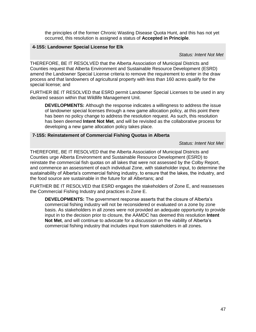the principles of the former Chronic Wasting Disease Quota Hunt, and this has not yet occurred, this resolution is assigned a status of **Accepted in Principle**.

#### **4-15S: Landowner Special License for Elk**

*Status: Intent Not Met*

THEREFORE, BE IT RESOLVED that the Alberta Association of Municipal Districts and Counties request that Alberta Environment and Sustainable Resource Development (ESRD) amend the Landowner Special License criteria to remove the requirement to enter in the draw process and that landowners of agricultural property with less than 160 acres qualify for the special license; and

FURTHER BE IT RESOLVED that ESRD permit Landowner Special Licenses to be used in any declared season within that Wildlife Management Unit.

**DEVELOPMENTS:** Although the response indicates a willingness to address the issue of landowner special licenses through a new game allocation policy, at this point there has been no policy change to address the resolution request. As such, this resolution has been deemed **Intent Not Met**, and will be revisited as the collaborative process for developing a new game allocation policy takes place.

#### **7-15S: Reinstatement of Commercial Fishing Quotas in Alberta**

*Status: Intent Not Met*

THEREFORE, BE IT RESOLVED that the Alberta Association of Municipal Districts and Counties urge Alberta Environment and Sustainable Resource Development (ESRD) to reinstate the commercial fish quotas on all lakes that were not assessed by the Colby Report, and commence an assessment of each individual Zone, with stakeholder input, to determine the sustainability of Alberta's commercial fishing industry, to ensure that the lakes, the industry, and the food source are sustainable in the future for all Albertans; and

FURTHER BE IT RESOLVED that ESRD engages the stakeholders of Zone E, and reassesses the Commercial Fishing Industry and practices in Zone E.

<span id="page-46-0"></span>**DEVELOPMENTS:** The government response asserts that the closure of Alberta's commercial fishing industry will not be reconsidered or evaluated on a zone by zone basis. As stakeholders in all zones were not provided an adequate opportunity to provide input in to the decision prior to closure, the AAMDC has deemed this resolution **Intent Not Met**, and will continue to advocate for a discussion on the viability of Alberta's commercial fishing industry that includes input from stakeholders in all zones.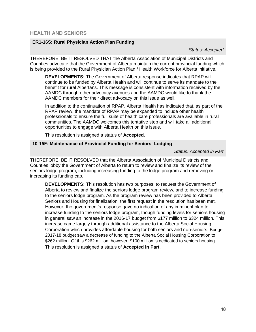#### **ER1-16S: Rural Physician Action Plan Funding**

*Status: Accepted*

THEREFORE, BE IT RESOLVED THAT the Alberta Association of Municipal Districts and Counties advocate that the Government of Alberta maintain the current provincial funding which is being provided to the Rural Physician Action Plan / Health Workforce for Alberta initiative.

**DEVELOPMENTS:** The Government of Alberta response indicates that RPAP will continue to be funded by Alberta Health and will continue to serve its mandate to the benefit for rural Albertans. This message is consistent with information received by the AAMDC through other advocacy avenues and the AAMDC would like to thank the AAMDC members for their direct advocacy on this issue as well.

In addition to the continuation of RPAP, Alberta Health has indicated that, as part of the RPAP review, the mandate of RPAP may be expanded to include other health professionals to ensure the full suite of health care professionals are available in rural communities. The AAMDC welcomes this tentative step and will take all additional opportunities to engage with Alberta Health on this issue.

This resolution is assigned a status of **Accepted**.

#### **10-15F: Maintenance of Provincial Funding for Seniors' Lodging**

*Status: Accepted in Part*

THEREFORE, BE IT RESOLVED that the Alberta Association of Municipal Districts and Counties lobby the Government of Alberta to return to review and finalize its review of the seniors lodge program, including increasing funding to the lodge program and removing or increasing its funding cap.

**DEVELOPMENTS:** This resolution has two purposes: to request the Government of Alberta to review and finalize the seniors lodge program review, and to increase funding to the seniors lodge program. As the program review has been provided to Alberta Seniors and Housing for finalization, the first request in the resolution has been met. However, the government's response gave no indication of any imminent plan to increase funding to the seniors lodge program, though funding levels for seniors housing in general saw an increase in the 2016-17 budget from \$177 million to \$324 million. This increase came largely through additional assistance to the Alberta Social Housing Corporation which provides affordable housing for both seniors and non-seniors. Budget 2017-18 budget saw a decrease of funding to the Alberta Social Housing Corporation to \$262 million. Of this \$262 million, however, \$100 million is dedicated to seniors housing. This resolution is assigned a status of **Accepted in Part**.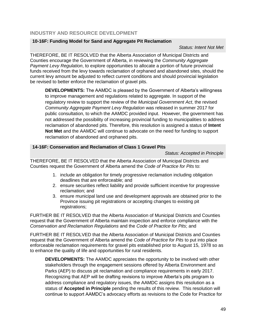#### <span id="page-48-0"></span>**INDUSTRY AND RESOURCE DEVELOPMENT**

#### **10-16F: Funding Model for Sand and Aggregate Pit Reclamation**

#### *Status: Intent Not Met*

THEREFORE, BE IT RESOLVED that the Alberta Association of Municipal Districts and Counties encourage the Government of Alberta, in reviewing the *Community Aggregate Payment Levy Regulation*, to explore opportunities to allocate a portion of future provincial funds received from the levy towards reclamation of orphaned and abandoned sites, should the current levy amount be adjusted to reflect current conditions and should provincial legislation be revised to better enforce the reclamation of gravel pits.

**DEVELOPMENTS:** The AAMDC is pleased by the Government of Alberta's willingness to improve management and regulations related to aggregate. In support of the regulatory review to support the review of the *Municipal Government Act*, the revised *Community Aggregate Payment Levy Regulation* was released in summer 2017 for public consultation, to which the AAMDC provided input. However, the government has not addressed the possibility of increasing provincial funding to municipalities to address reclamation of abandoned pits. Therefore, this resolution is assigned a status of **Intent Not Met** and the AAMDC will continue to advocate on the need for funding to support reclamation of abandoned and orphaned pits.

#### **14-16F: Conservation and Reclamation of Class 1 Gravel Pits**

*Status: Accepted in Principle*

THEREFORE, BE IT RESOLVED that the Alberta Association of Municipal Districts and Counties request the Government of Alberta amend the *Code of Practice for Pits* to:

- 1. include an obligation for timely progressive reclamation including obligation deadlines that are enforceable; and
- 2. ensure securities reflect liability and provide sufficient incentive for progressive reclamation; and
- 3. ensure municipal land use and development approvals are obtained prior to the Province issuing pit registrations or accepting changes to existing pit registrations;

FURTHER BE IT RESOLVED that the Alberta Association of Municipal Districts and Counties request that the Government of Alberta maintain inspection and enforce compliance with the *Conservation and Reclamation Regulations* and the *Code of Practice for Pits*; and

FURTHER BE IT RESOLVED that the Alberta Association of Municipal Districts and Counties request that the Government of Alberta amend the *Code of Practice for Pits* to put into place enforceable reclamation requirements for gravel pits established prior to August 15, 1978 so as to enhance the quality of life and opportunities for rural residents.

**DEVELOPMENTS:** The AAMDC appreciates the opportunity to be involved with other stakeholders through the engagement sessions offered by Alberta Environment and Parks (AEP) to discuss pit reclamation and compliance requirements in early 2017. Recognizing that AEP will be drafting revisions to improve Alberta's pits program to address compliance and regulatory issues, the AAMDC assigns this resolution as a status of **Accepted in Principle** pending the results of this review. This resolution will continue to support AAMDC's advocacy efforts as revisions to the Code for Practice for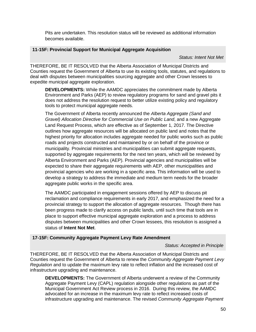Pits are undertaken. This resolution status will be reviewed as additional information becomes available.

#### **11-15F: Provincial Support for Municipal Aggregate Acquisition**

*Status: Intent Not Met*

THEREFORE, BE IT RESOLVED that the Alberta Association of Municipal Districts and Counties request the Government of Alberta to use its existing tools, statutes, and regulations to deal with disputes between municipalities sourcing aggregate and other Crown lessees to expedite municipal aggregate exploration.

**DEVELOPMENTS:** While the AAMDC appreciates the commitment made by Alberta Environment and Parks (AEP) to review regulatory programs for sand and gravel pits it does not address the resolution request to better utilize existing policy and regulatory tools to protect municipal aggregate needs.

The Government of Alberta recently announced the *[Alberta Aggregate \(Sand and](http://aep.alberta.ca/land/land-management/surface-material-applications/documents/AggregateAllocationDirective-Sep01-2017.pdf)  [Gravel\) Allocation Directive for Commercial Use on Public](http://aep.alberta.ca/land/land-management/surface-material-applications/documents/AggregateAllocationDirective-Sep01-2017.pdf) Land*, and a new [Aggregate](http://aep.alberta.ca/land/land-management/surface-material-applications/documents/AggregateLandReviewRequest-Sep01-2017.pdf)  [Land Request Process,](http://aep.alberta.ca/land/land-management/surface-material-applications/documents/AggregateLandReviewRequest-Sep01-2017.pdf) which are effective as of September 1, 2017. The Directive outlines how aggregate resources will be allocated on public land and notes that the highest priority for allocation includes aggregate needed for public works such as public roads and projects constructed and maintained by or on behalf of the province or municipality. Provincial ministries and municipalities can submit aggregate requests, supported by aggregate requirements for the next ten years, which will be reviewed by Alberta Environment and Parks (AEP). Provincial agencies and municipalities will be expected to share their aggregate requirements with AEP, other municipalities and provincial agencies who are working in a specific area. This information will be used to develop a strategy to address the immediate and medium term needs for the broader aggregate public works in the specific area.

The AAMDC participated in engagement sessions offered by AEP to discuss pit reclamation and compliance requirements in early 2017, and emphasized the need for a provincial strategy to support the allocation of aggregate resources. Though there has been progress made to clarify access on public lands, until such time that tools are in place to support effective municipal aggregate exploration and a process to address disputes between municipalities and other Crown lessees, this resolution is assigned a status of **Intent Not Met**.

#### **17-15F: Community Aggregate Payment Levy Rate Amendment**

#### *Status: Accepted in Principle*

THEREFORE, BE IT RESOLVED that the Alberta Association of Municipal Districts and Counties request the Government of Alberta to renew the *Community Aggregate Payment Levy Regulation* and to update the maximum levy rate to reflect inflation and the increased cost of infrastructure upgrading and maintenance.

**DEVELOPMENTS:** The Government of Alberta underwent a review of the Community Aggregate Payment Levy (CAPL) regulation alongside other regulations as part of the Municipal Government Act Review process in 2016. During this review, the AAMDC advocated for an increase in the maximum levy rate to reflect increased costs of infrastructure upgrading and maintenance. The revised *Community Aggregate Payment*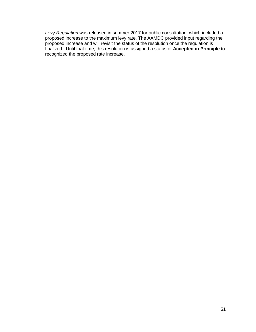*Levy Regulation* was released in summer 2017 for public consultation, which included a proposed increase to the maximum levy rate. The AAMDC provided input regarding the proposed increase and will revisit the status of the resolution once the regulation is finalized. Until that time, this resolution is assigned a status of **Accepted in Principle** to recognized the proposed rate increase.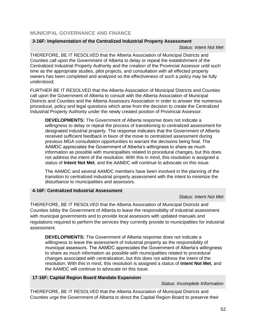#### <span id="page-51-0"></span>**MUNICIPAL GOVERNANCE AND FINANCE**

#### **3-16F: Implementation of the Centralized Industrial Property Assessment**

*Status: Intent Not Met*

THEREFORE, BE IT RESOLVED that the Alberta Association of Municipal Districts and Counties call upon the Government of Alberta to delay or repeal the establishment of the Centralized Industrial Property Authority and the creation of the Provincial Assessor until such time as the appropriate studies, pilot projects, and consultation with all effected property owners has been completed and analyzed so the effectiveness of such a policy may be fully understood;

FURTHER BE IT RESOLVED that the Alberta Association of Municipal Districts and Counties call upon the Government of Alberta to consult with the Alberta Association of Municipal Districts and Counties and the Alberta Assessors Association in order to answer the numerous procedural, policy and legal questions which arise from the decision to create the Centralized Industrial Property Authority under the newly created position of Provincial Assessor.

**DEVELOPMENTS:** The Government of Alberta response does not indicate a willingness to delay or repeal the process of transitioning to centralized assessment for designated industrial property. The response indicates that the Government of Alberta received sufficient feedback in favor of the move to centralized assessment during previous MGA consultation opportunities to warrant the decisions being final. The AAMDC appreciates the Government of Alberta's willingness to share as much information as possible with municipalities related to procedural changes, but this does not address the intent of the resolution. With this in mind, this resolution is assigned a status of **Intent Not Met**, and the AAMDC will continue to advocate on this issue.

The AAMDC and several AAMDC members have been involved in the planning of the transition to centralized industrial property assessment with the intent to minimize the disturbance to municipalities and assessors.

#### **4-16F: Centralized Industrial Assessment**

#### *Status: Intent Not Met*

THEREFORE, BE IT RESOLVED that the Alberta Association of Municipal Districts and Counties lobby the Government of Alberta to leave the responsibility of industrial assessment with municipal governments and to provide local assessors with updated manuals and regulations required to perform the services they currently provide to municipalities for industrial assessment.

**DEVELOPMENTS:** The Government of Alberta response does not indicate a willingness to leave the assessment of industrial property as the responsibility of municipal assessors. The AAMDC appreciates the Government of Alberta's willingness to share as much information as possible with municipalities related to procedural changes associated with centralization, but this does not address the intent of the resolution. With this in mind, this resolution is assigned a status of **Intent Not Met**, and the AAMDC will continue to advocate on this issue.

#### **17-16F: Capital Region Board Mandate Expansion**

#### *Status: Incomplete Information*

THEREFORE, BE IT RESOLVED that the Alberta Association of Municipal Districts and Counties urge the Government of Alberta to direct the Capital Region Board to preserve their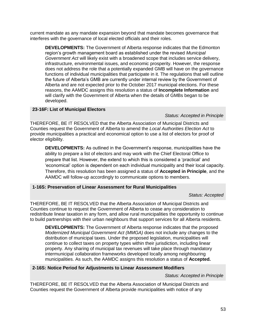current mandate as any mandate expansion beyond that mandate becomes governance that interferes with the governance of local elected officials and their roles.

**DEVELOPMENTS:** The Government of Alberta response indicates that the Edmonton region's growth management board as established under the revised *Municipal Government Act* will likely exist with a broadened scope that includes service delivery, infrastructure, environmental issues, and economic prosperity. However, the response does not address the role that a potentially expanded GMB will have on the governance functions of individual municipalities that participate in it. The regulations that will outline the future of Alberta's GMB are currently under internal review by the Government of Alberta and are not expected prior to the October 2017 municipal elections. For these reasons, the AAMDC assigns this resolution a status of **Incomplete Information** and will clarify with the Government of Alberta when the details of GMBs began to be developed.

#### **23-16F: List of Municipal Electors**

*Status: Accepted in Principle*

THEREFORE, BE IT RESOLVED that the Alberta Association of Municipal Districts and Counties request the Government of Alberta to amend the *Local Authorities Election Act* to provide municipalities a practical and economical option to use a list of electors for proof of elector eligibility.

**DEVELOPMENTS:** As outlined in the Government's response, municipalities have the ability to prepare a list of electors and may work with the Chief Electoral Office to prepare that list. However, the extend to which this is considered a 'practical' and 'economical' option is dependent on each individual municipality and their local capacity. Therefore, this resolution has been assigned a status of **Accepted in Principle**, and the AAMDC will follow-up accordingly to communicate options to members.

#### **1-16S: Preservation of Linear Assessment for Rural Municipalities**

*Status: Accepted* 

THEREFORE, BE IT RESOLVED that the Alberta Association of Municipal Districts and Counties continue to request the Government of Alberta to cease any consideration to redistribute linear taxation in any form, and allow rural municipalities the opportunity to continue to build partnerships with their urban neighbours that support services for all Alberta residents.

**DEVELOPMENTS:** The Government of Alberta response indicates that the proposed *Modernized Municipal Government Act (MMGA)* does not include any changes to the distribution of municipal taxes. Under the proposed legislation, municipalities will continue to collect taxes on property types within their jurisdiction, including linear property. Any sharing of municipal tax revenues will take place through mandatory intermunicipal collaboration frameworks developed locally among neighbouring municipalities. As such, the AAMDC assigns this resolution a status of **Accepted.**

#### **2-16S: Notice Period for Adjustments to Linear Assessment Modifiers**

*Status: Accepted in Principle*

THEREFORE, BE IT RESOLVED that the Alberta Association of Municipal Districts and Counties request the Government of Alberta provide municipalities with notice of any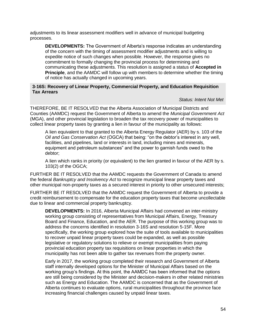adjustments to its linear assessment modifiers well in advance of municipal budgeting processes.

**DEVELOPMENTS:** The Government of Alberta's response indicates an understanding of the concern with the timing of assessment modifier adjustments and is willing to expedite notice of such changes when possible. However, the response gives no commitment to formally changing the provincial process for determining and communicating these adjustments. This resolution is assigned a status of **Accepted in Principle**, and the AAMDC will follow up with members to determine whether the timing of notice has actually changed in upcoming years.

#### **3-16S: Recovery of Linear Property, Commercial Property, and Education Requisition Tax Arrears**

#### *Status: Intent Not Met*

THEREFORE, BE IT RESOLVED that the Alberta Association of Municipal Districts and Counties (AAMDC) request the Government of Alberta to amend the *Municipal Government Act* (MGA), and other provincial legislation to broaden the tax recovery power of municipalities to collect linear property taxes by granting a lien in favour of the municipality as follows:

A lien equivalent to that granted to the Alberta Energy Regulator (AER) by s. 103 of the *Oil and Gas Conservation Act* (OGCA) that being: "on the debtor's interest in any well, facilities, and pipelines, land or interests in land, including mines and minerals, equipment and petroleum substances" and the power to garnish funds owed to the debtor;

A lien which ranks in priority (or equivalent) to the lien granted in favour of the AER by s. 103(2) of the OGCA;

FURTHER BE IT RESOLVED that the AAMDC requests the Government of Canada to amend the federal *Bankruptcy and Insolvency Act* to recognize municipal linear property taxes and other municipal non-property taxes as a secured interest in priority to other unsecured interests;

FURTHER BE IT RESOLVED that the AAMDC request the Government of Alberta to provide a credit reimbursement to compensate for the education property taxes that become uncollectable due to linear and commercial property bankruptcy.

**DEVELOPMENTS:** In 2016, Alberta Municipal Affairs had convened an inter-ministry working group consisting of representatives from Municipal Affairs, Energy, Treasury Board and Finance, Education, and the AER. The purpose of this working group was to address the concerns identified in resolution 3-16S and resolution 5-15F. More specifically, the working group explored how the suite of tools available to municipalities to recover unpaid linear property taxes could be expanded, as well as possible legislative or regulatory solutions to relieve or exempt municipalities from paying provincial education property tax requisitions on linear properties in which the municipality has not been able to gather tax revenues from the property owner.

Early in 2017, the working group completed their research and Government of Alberta staff internally developed options for the Minister of Municipal Affairs based on the working group's findings. At this point, the AAMDC has been informed that the options are still being considered by the Minister and decision-makers in other related ministries such as Energy and Education. The AAMDC is concerned that as the Government of Alberta continues to evaluate options, rural municipalities throughout the province face increasing financial challenges caused by unpaid linear taxes.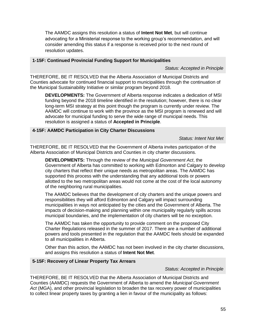The AAMDC assigns this resolution a status of **Intent Not Met**, but will continue advocating for a Ministerial response to the working group's recommendation, and will consider amending this status if a response is received prior to the next round of resolution updates.

#### **1-15F: Continued Provincial Funding Support for Municipalities**

*Status: Accepted in Principle*

THEREFORE, BE IT RESOLVED that the Alberta Association of Municipal Districts and Counties advocate for continued financial support to municipalities through the continuation of the Municipal Sustainability Initiative or similar program beyond 2018.

**DEVELOPMENTS:** The Government of Alberta response indicates a dedication of MSI funding beyond the 2018 timeline identified in the resolution; however, there is no clear long-term MSI strategy at this point though the program is currently under review. The AAMDC will continue to work with the province as the MSI program is renewed and will advocate for municipal funding to serve the wide range of municipal needs. This resolution is assigned a status of **Accepted in Principle**.

#### **4-15F: AAMDC Participation in City Charter Discussions**

*Status: Intent Not Met*

THEREFORE, BE IT RESOLVED that the Government of Alberta invites participation of the Alberta Association of Municipal Districts and Counties in city charter discussions.

**DEVELOPMENTS:** Through the review of the *Municipal Government Act*, the Government of Alberta has committed to working with Edmonton and Calgary to develop city charters that reflect their unique needs as metropolitan areas. The AAMDC has supported this process with the understanding that any additional tools or powers allotted to the two metropolitan areas would not come at the cost of the local autonomy of the neighboring rural municipalities.

The AAMDC believes that the development of city charters and the unique powers and responsibilities they will afford Edmonton and Calgary will impact surrounding municipalities in ways not anticipated by the cities and the Government of Alberta. The impacts of decision-making and planning within one municipality regularly spills across municipal boundaries, and the implementation of city charters will be no exception.

The AAMDC has taken the opportunity to provide comment on the proposed City Charter Regulations released in the summer of 2017. There are a number of additional powers and tools presented in the regulation that the AAMDC feels should be expanded to all municipalities in Alberta.

Other than this action, the AAMDC has not been involved in the city charter discussions, and assigns this resolution a status of **Intent Not Met**.

#### **5-15F: Recovery of Linear Property Tax Arrears**

#### *Status: Accepted in Principle*

THEREFORE, BE IT RESOLVED that the Alberta Association of Municipal Districts and Counties (AAMDC) requests the Government of Alberta to amend the *Municipal Government Act* (MGA), and other provincial legislation to broaden the tax recovery power of municipalities to collect linear property taxes by granting a lien in favour of the municipality as follows: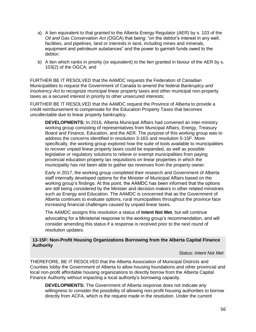- a) A lien equivalent to that granted to the Alberta Energy Regulator (AER) by s. 103 of the *Oil and Gas Conservation Act* (OGCA) that being: "on the debtor's interest in any well, facilities, and pipelines, land or interests in land, including mines and minerals, equipment and petroleum substances" and the power to garnish funds owed to the debtor;
- b) A lien which ranks in priority (or equivalent) to the lien granted in favour of the AER by s. 103(2) of the OGCA; and

FURTHER BE IT RESOLVED that the AAMDC requests the Federation of Canadian Municipalities to request the Government of Canada to amend the federal *Bankruptcy and Insolvency Act* to recognize municipal linear property taxes and other municipal non-property taxes as a secured interest in priority to other unsecured interests;

FURTHER BE IT RESOLVED that the AAMDC request the Province of Alberta to provide a credit reimbursement to compensate for the Education Property Taxes that becomes uncollectable due to linear property bankruptcy.

**DEVELOPMENTS:** In 2016, Alberta Municipal Affairs had convened an inter-ministry working group consisting of representatives from Municipal Affairs, Energy, Treasury Board and Finance, Education, and the AER. The purpose of this working group was to address the concerns identified in resolution 3-16S and resolution 5-15F. More specifically, the working group explored how the suite of tools available to municipalities to recover unpaid linear property taxes could be expanded, as well as possible legislative or regulatory solutions to relieve or exempt municipalities from paying provincial education property tax requisitions on linear properties in which the municipality has not been able to gather tax revenues from the property owner.

Early in 2017, the working group completed their research and Government of Alberta staff internally developed options for the Minister of Municipal Affairs based on the working group's findings. At this point, the AAMDC has been informed that the options are still being considered by the Minister and decision-makers in other related ministries such as Energy and Education. The AAMDC is concerned that as the Government of Alberta continues to evaluate options, rural municipalities throughout the province face increasing financial challenges caused by unpaid linear taxes.

The AAMDC assigns this resolution a status of **Intent Not Met**, but will continue advocating for a Ministerial response to the working group's recommendation, and will consider amending this status if a response is received prior to the next round of resolution updates.

#### **13-15F: Non-Profit Housing Organizations Borrowing from the Alberta Capital Finance Authority**

#### *Status: Intent Not Met*

THEREFORE, BE IT RESOLVED that the Alberta Association of Municipal Districts and Counties lobby the Government of Alberta to allow housing foundations and other provincial and local non-profit affordable housing organizations to directly borrow from the Alberta Capital Finance Authority without impacting a local authority's borrowing capacity.

**DEVELOPMENTS:** The Government of Alberta response does not indicate any willingness to consider the possibility of allowing non-profit housing authorities to borrow directly from ACFA, which is the request made in the resolution. Under the current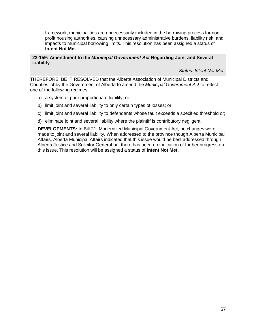framework, municipalities are unnecessarily included in the borrowing process for nonprofit housing authorities, causing unnecessary administrative burdens, liability risk, and impacts to municipal borrowing limits. This resolution has been assigned a status of **Intent Not Met**.

#### **22-15F: Amendment to the** *Municipal Government Act* **Regarding Joint and Several Liability**

*Status: Intent Not Met*

THEREFORE, BE IT RESOLVED that the Alberta Association of Municipal Districts and Counties lobby the Government of Alberta to amend the *Municipal Government Act* to reflect one of the following regimes:

- a) a system of pure proportionate liability; or
- b) limit joint and several liability to only certain types of losses; or
- c) limit joint and several liability to defendants whose fault exceeds a specified threshold or;
- d) eliminate joint and several liability where the plaintiff is contributory negligent.

**DEVELOPMENTS:** In Bill 21: Modernized Municipal Government Act, no changes were made to joint and several liability. When addressed to the province though Alberta Municipal Affairs, Alberta Municipal Affairs indicated that this issue would be best addressed through Alberta Justice and Solicitor General but there has been no indication of further progress on this issue. This resolution will be assigned a status of **Intent Not Met.**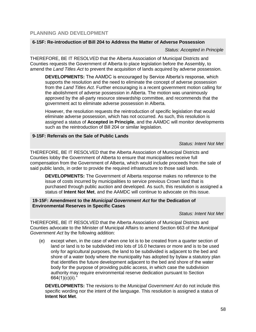#### <span id="page-57-0"></span>**PLANNING AND DEVELOPMENT**

#### **6-15F: Re-introduction of Bill 204 to Address the Matter of Adverse Possession**

*Status: Accepted in Principle*

THEREFORE, BE IT RESOLVED that the Alberta Association of Municipal Districts and Counties requests the Government of Alberta to place legislation before the Assembly, to amend the *Land Titles Act* to prevent the acquisition of lands acquired by adverse possession.

**DEVELOPMENTS:** The AAMDC is encouraged by Service Alberta's response, which supports the resolution and the need to eliminate the concept of adverse possession from the *Land Titles Act*. Further encouraging is a recent government motion calling for the abolishment of adverse possession in Alberta. The motion was unanimously approved by the all-party resource stewardship committee, and recommends that the government act to eliminate adverse possession in Alberta.

However, the resolution requests the reintroduction of specific legislation that would eliminate adverse possession, which has not occurred. As such, this resolution is assigned a status of **Accepted in Principle**, and the AAMDC will monitor developments such as the reintroduction of Bill 204 or similar legislation.

#### **9-15F: Referrals on the Sale of Public Lands**

*Status: Intent Not Met*

THEREFORE, BE IT RESOLVED that the Alberta Association of Municipal Districts and Counties lobby the Government of Alberta to ensure that municipalities receive full compensation from the Government of Alberta, which would include proceeds from the sale of said public lands, in order to provide the required infrastructure to those said lands.

**DEVELOPMENTS:** The Government of Alberta response makes no reference to the issue of costs incurred by municipalities to service previous Crown land that is purchased through public auction and developed. As such, this resolution is assigned a status of **Intent Not Met**, and the AAMDC will continue to advocate on this issue.

#### **19-15F: Amendment to the** *Municipal Government Act* **for the Dedication of Environmental Reserves in Specific Cases**

*Status: Intent Not Met*

THEREFORE, BE IT RESOLVED that the Alberta Association of Municipal Districts and Counties advocate to the Minister of Municipal Affairs to amend Section 663 of the *Municipal Government Act* by the following addition:

(e) except when, in the case of when one lot is to be created from a quarter section of land or land is to be subdivided into lots of 16.0 hectares or more and is to be used only for agricultural purposes, the land to be subdivided is adjacent to the bed and shore of a water body where the municipality has adopted by bylaw a statutory plan that identifies the future development adjacent to the bed and shore of the water body for the purpose of providing public access, in which case the subdivision authority may require environmental reserve dedication pursuant to Section 664(1)(c)(ii)."

**DEVELOPMENTS:** The revisions to the *Municipal Government Act* do not include this specific wording nor the intent of the language. This resolution is assigned a status of **Intent Not Met**.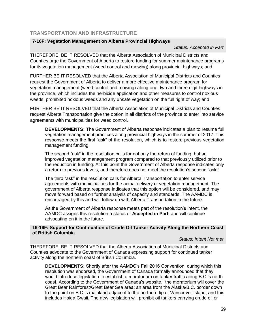### <span id="page-58-0"></span>**TRANSPORTATION AND INFRASTRUCTURE**

#### **7-16F: Vegetation Management on Alberta Provincial Highways**

*Status: Accepted in Part* 

THEREFORE, BE IT RESOLVED that the Alberta Association of Municipal Districts and Counties urge the Government of Alberta to restore funding for summer maintenance programs for its vegetation management (weed control and mowing) along provincial highways; and

FURTHER BE IT RESOLVED that the Alberta Association of Municipal Districts and Counties request the Government of Alberta to deliver a more effective maintenance program for vegetation management (weed control and mowing) along one, two and three digit highways in the province, which includes the herbicide application and other measures to control noxious weeds, prohibited noxious weeds and any unsafe vegetation on the full right of way; and

FURTHER BE IT RESOLVED that the Alberta Association of Municipal Districts and Counties request Alberta Transportation give the option in all districts of the province to enter into service agreements with municipalities for weed control.

**DEVELOPMENTS:** The Government of Alberta response indicates a plan to resume full vegetation management practices along provincial highways in the summer of 2017. This response meets the first "ask" of the resolution, which is to restore previous vegetation management funding.

The second "ask" in the resolution calls for not only the return of funding, but an improved vegetation management program compared to that previously utilized prior to the reduction in funding. At this point the Government of Alberta response indicates only a return to previous levels, and therefore does not meet the resolution's second "ask."

The third "ask" in the resolution calls for Alberta Transportation to enter service agreements with municipalities for the actual delivery of vegetation management. The government of Alberta response indicates that this option will be considered, and may move forward based on further analysis of capacity and standards. The AAMDC is encouraged by this and will follow up with Alberta Transportation in the future.

As the Government of Alberta response meets part of the resolution's intent, the AAMDC assigns this resolution a status of **Accepted in Part**, and will continue advocating on it in the future.

#### **16-16F: Support for Continuation of Crude Oil Tanker Activity Along the Northern Coast of British Columbia**

#### *Status: Intent Not met*

THEREFORE, BE IT RESOLVED that the Alberta Association of Municipal Districts and Counties advocate to the Government of Canada expressing support for continued tanker activity along the northern coast of British Columbia.

**DEVELOPMENTS:** Shortly after the AAMDC's Fall 2016 Convention, during which this resolution was endorsed, the Government of Canada formally announced that they would introduce legislation to establish a moratorium on tanker traffic along B.C.'s north coast. According to the Government of Canada's website, "the moratorium will cover the Great Bear Rainforest/Great Bear Sea area: an area from the Alaska/B.C. border down to the point on B.C.'s mainland adjacent to the northern tip of Vancouver Island, and this includes Haida Gwaii. The new legislation will prohibit oil tankers carrying crude oil or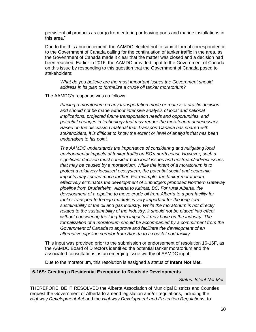persistent oil products as cargo from entering or leaving ports and marine installations in this area."

Due to the this announcement, the AAMDC elected not to submit formal correspondence to the Government of Canada calling for the continuation of tanker traffic in the area, as the Govenrment of Canada made it clear that the matter was closed and a decision had been reached. Earlier in 2016, the AAMDC provided input to the Government of Canada on this issue by responding to this question that the Government of Canada posed to stakeholders:

*What do you believe are the most important issues the Government should address in its plan to formalize a crude oil tanker moratorium?*

The AAMDC's response was as follows:

*Placing a moratorium on any transportation mode or route is a drastic decision and should not be made without intensive analysis of local and national implications, projected future transportation needs and opportunities, and potential changes in technology that may render the moratorium unnecessary. Based on the discussion material that Transport Canada has shared with stakeholders, it is difficult to know the extent or level of analysis that has been undertaken to his point.* 

*The AAMDC understands the importance of considering and mitigating local environmental impacts of tanker traffic on BC's north coast. However, such a significant decision must consider both local issues and upstream/indirect issues that may be caused by a moratorium. While the intent of a moratorium is to protect a relatively localized ecosystem, the potential social and economic impacts may spread much farther. For example, the tanker moratorium effectively eliminates the development of Enbridge's proposed Northern Gateway pipeline from Bruderheim, Alberta to Kitimat, BC. For rural Alberta, the development of a pipeline to move crude oil from Alberta to a port facility for tanker transport to foreign markets is very important for the long-term sustainability of the oil and gas industry. While the moratorium is not directly related to the sustainability of the industry, it should not be placed into effect without considering the long-term impacts it may have on the industry. The formalization of a moratorium should be accompanied by a commitment from the Government of Canada to approve and facilitate the development of an alternative pipeline corridor from Alberta to a coastal port facility.* 

This input was provided prior to the submission or endorsement of resolution 16-16F, as the AAMDC Board of Directors identified the potential tanker moratorium and the associated consultations as an emerging issue worthy of AAMDC input.

Due to the moratorium, this resolution is assigned a status of **Intent Not Met**.

#### **6-16S: Creating a Residential Exemption to Roadside Developments**

*Status: Intent Not Met*

THEREFORE, BE IT RESOLVED the Alberta Association of Municipal Districts and Counties request the Government of Alberta to amend legislation and/or regulations, including the *Highway Development Act* and the *Highway Development and Protection Regulations*, to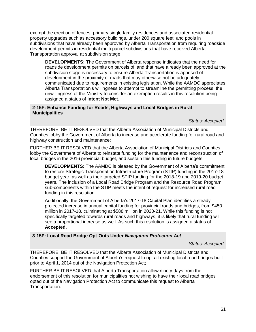exempt the erection of fences, primary single family residences and associated residential property upgrades such as accessory buildings, under 200 square feet, and pools in subdivisions that have already been approved by Alberta Transportation from requiring roadside development permits in residential multi parcel subdivisions that have received Alberta Transportation approval at subdivision stage.

**DEVELOPMENTS:** The Government of Alberta response indicates that the need for roadside development permits on parcels of land that have already been approved at the subdivision stage is necessary to ensure Alberta Transportation is apprised of development in the proximity of roads that may otherwise not be adequately communicated due to requirements in existing legislation. While the AAMDC appreciates Alberta Transportation's willingness to attempt to streamline the permitting process, the unwillingness of the Ministry to consider an exemption results in this resolution being assigned a status of **Intent Not Met**.

#### **2-15F: Enhance Funding for Roads, Highways and Local Bridges in Rural Municipalities**

*Status: Accepted*

THEREFORE, BE IT RESOLVED that the Alberta Association of Municipal Districts and Counties lobby the Government of Alberta to increase and accelerate funding for rural road and highway construction and maintenance;

FURTHER BE IT RESOLVED that the Alberta Association of Municipal Districts and Counties lobby the Government of Alberta to reinstate funding for the maintenance and reconstruction of local bridges in the 2016 provincial budget, and sustain this funding in future budgets.

**DEVELOPMENTS:** The AAMDC is pleased by the Government of Alberta's commitment to restore Strategic Transportation Infrastructure Program (STIP) funding in the 2017-18 budget year, as well as their targeted STIP funding for the 2018-19 and 2019-20 budget years. The inclusion of a Local Road Bridge Program and the Resource Road Program sub-components within the STIP meets the intent of request for increased rural road funding in this resolution.

Additionally, the Government of Alberta's 2017-18 Capital Plan identifies a steady projected increase in annual capital funding for provincial roads and bridges, from \$450 million in 2017-18, culminating at \$588 million in 2020-21. While this funding is not specifically targeted towards rural roads and highways, it is likely that rural funding will see a proportional increase as well. As such this resolution is assigned a status of **Accepted.**

#### **3-15F: Local Road Bridge Opt-Outs Under** *Navigation Protection Act*

*Status: Accepted*

THEREFORE, BE IT RESOLVED that the Alberta Association of Municipal Districts and Counties support the Government of Alberta's request to opt all existing local road bridges built prior to April 1, 2014 out of the Navigation Protection Act;

FURTHER BE IT RESOLVED that Alberta Transportation allow ninety days from the endorsement of this resolution for municipalities not wishing to have their local road bridges opted out of the Navigation Protection Act to communicate this request to Alberta Transportation.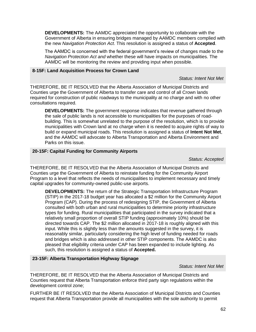**DEVELOPMENTS:** The AAMDC appreciated the opportunity to collaborate with the Government of Alberta in ensuring bridges managed by AAMDC members complied with the new *Navigation Protection Act*. This resolution is assigned a status of **Accepted**.

The AAMDC is concerned with the federal government's review of changes made to the *Navigation Protection Act and* whether these will have impacts on municipalities. The AAMDC will be monitoring the review and providing input when possible.

#### **8-15F: Land Acquisition Process for Crown Land**

*Status: Intent Not Met*

THEREFORE, BE IT RESOLVED that the Alberta Association of Municipal Districts and Counties urge the Government of Alberta to transfer care and control of all Crown lands required for construction of public roadways to the municipality at no charge and with no other consultations required.

**DEVELOPMENTS:** The government response indicates that revenue gathered through the sale of public lands is not accessible to municipalities for the purposes of roadbuilding. This is somewhat unrelated to the purpose of the resolution, which is to provide municipalities with Crown land at no charge when it is needed to acquire rights of way to build or expand municipal roads. This resolution is assigned a status of **Intent Not Met**, and the AAMDC will advocate to Alberta Transportation and Alberta Environment and Parks on this issue.

#### **20-15F: Capital Funding for Community Airports**

*Status: Accepted* 

THEREFORE, BE IT RESOLVED that the Alberta Association of Municipal Districts and Counties urge the Government of Alberta to reinstate funding for the Community Airport Program to a level that reflects the needs of municipalities to implement necessary and timely capital upgrades for community-owned public-use airports.

**DEVELOPMENTS:** The return of the Strategic Transportation Infrastructure Program (STIP) in the 2017-18 budget year has allocated a \$2 million for the Community Airport Program (CAP). During the process of redesigning STIP, the Government of Alberta consulted with both urban and rural municipalities to determine priority infrastructure types for funding. Rural municipalities that participated in the survey indicated that a relatively small proportion of overall STIP funding (approximately 10%) should be directed towards CAP. The \$2 million allocated in 2017-18 is roughly aligned with this input. While this is slightly less than the amounts suggested in the survey, it is reasonably similar, particularly considering the high level of funding needed for roads and bridges which is also addressed in other STIP components. The AAMDC is also pleased that eligibility criteria under CAP has been expanded to include lighting. As such, this resolution is assigned a status of **Accepted.**

#### **23-15F: Alberta Transportation Highway Signage**

*Status: Intent Not Met*

THEREFORE, BE IT RESOLVED that the Alberta Association of Municipal Districts and Counties request that Alberta Transportation enforce third party sign regulations within the development control zone;

FURTHER BE IT RESOLVED that the Alberta Association of Municipal Districts and Counties request that Alberta Transportation provide all municipalities with the sole authority to permit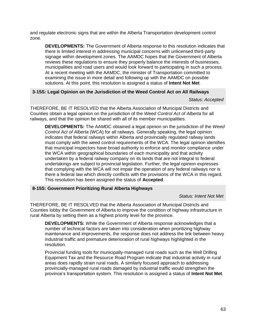and regulate electronic signs that are within the Alberta Transportation development control zone.

**DEVELOPMENTS:** The Government of Alberta response to this resolution indicates that there is limited interest in addressing municipal concerns with unlicensed third-party signage within development zones. The AAMDC hopes that the Government of Alberta reviews these regulations to ensure they properly balance the interests of businesses, municipalities and road users and would look forward to participating in such a process. At a recent meeting with the AAMDC, the minister of Transportation committed to examining the issue in more detail and following up with the AAMDC on possible solutions. At this point, this resolution is assigned a status of **Intent Not Met**.

#### **3-15S: Legal Opinion on the Jurisdiction of the Weed Control Act on All Railways**

*Status: Accepted*

THEREFORE, BE IT RESOLVED that the Alberta Association of Municipal Districts and Counties obtain a legal opinion on the jurisdiction of the *Weed Control Act of Alberta* for all railways, and that the opinion be shared with all of its member municipalities.

**DEVELOPMENTS:** The AAMDC obtained a legal opinion on the jurisdiction of the *Weed Control Act of Alberta* (WCA) for all railways. Generally speaking, the legal opinion indicates that federal railways within Alberta and provincially regulated railway lands must comply with the weed control requirements of the WCA. The legal opinion identifies that municipal inspectors have broad authority to enforce and monitor compliance under the WCA within geographical boundaries of each municipality and that activity undertaken by a federal railway company on its lands that are not integral to federal undertakings are subject to provincial legislation. Further, the legal opinion expresses that complying with the WCA will not impair the operation of any federal railways nor is there a federal law which directly conflicts with the provisions of the WCA in this regard. This resolution has been assigned the status of **Accepted**.

#### **8-15S: Government Prioritizing Rural Alberta Highways**

*Status: Intent Not Met*

THEREFORE, BE IT RESOLVED that the Alberta Association of Municipal Districts and Counties lobby the Government of Alberta to improve the condition of highway infrastructure in rural Alberta by setting them as a highest priority level for the province.

**DEVELOPMENTS:** While the Government of Alberta response acknowledges that a number of technical factors are taken into consideration when prioritizing highway maintenance and improvements, the response does not address the link between heavy industrial traffic and premature deterioration of rural highways highlighted in the resolution.

Provincial funding tools for municipally-managed rural roads such as the Well Drilling Equipment Tax and the Resource Road Program indicate that industrial activity in rural areas does rapidly strain rural roads. A similarly focused approach to addressing provincially-managed rural roads damaged by industrial traffic would strengthen the province's transportation system. This resolution is assigned a status of **Intent Not Met**.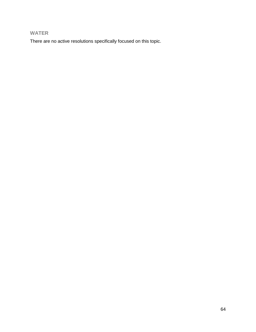### <span id="page-63-0"></span>**WATER**

There are no active resolutions specifically focused on this topic.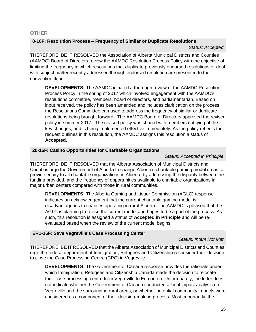#### <span id="page-64-0"></span>**OTHER**

#### **8-16F: Resolution Process – Frequency of Similar or Duplicate Resolutions**

#### *Status: Accepted*

THEREFORE, BE IT RESOLVED the Association of Alberta Municipal Districts and Counties (AAMDC) Board of Directors review the AAMDC Resolution Process Policy with the objective of limiting the frequency in which resolutions that duplicate previously endorsed resolutions or deal with subject matter recently addressed through endorsed resolution are presented to the convention floor.

**DEVELOPMENTS:** The AAMDC initiated a thorough review of the AAMDC Resolution Process Policy in the spring of 2017 which involved engagement with the AAMDC's resolutions committee, members, board of directors, and parliamentarian. Based on input received, the policy has been amended and includes clarification on the process the Resolutions Committee can used to address the frequency of similar or duplicate resolutions being brought forward. The AAMDC Board of Directors approved the revised policy in summer 2017. The revised policy was shared with members notifying of the key changes, and is being implemented effective immediately. As the policy reflects the request outlines in this resolution, the AAMDC assigns this resolution a status of **Accepted**.

#### **20-16F: Casino Opportunities for Charitable Organizations**

#### *Status: Accepted in Principle*

THEREFORE, BE IT RESOLVED that the Alberta Association of Municipal Districts and Counties urge the Government of Alberta to change Alberta's charitable gaming model so as to provide equity to all charitable organizations in Alberta, by addressing the disparity between the funding provided, and the frequency of opportunities available to charitable organizations in major urban centers compared with those in rural communities.

**DEVELOPMENTS:** The Alberta Gaming and Liquor Commission (AGLC) response indicates an acknowledgement that the current charitable gaming model is disadvantageous to charities operating in rural Alberta. The AAMDC is pleased that the AGLC is planning to revise the current model and hopes to be a part of the process. As such, this resolution is assigned a status of **Accepted in Principle** and will be reevaluated based when the review of the current model begins.

#### **ER1-16F: Save Vegreville's Case Processing Center**

#### *Status: Intent Not Met*

THEREFORE, BE IT RESOLVED that the Alberta Association of Municipal Districts and Counties urge the federal department of Immigration, Refugees and Citizenship reconsider their decision to close the Case Processing Centre (CPC) in Vegreville.

**DEVELOPMENTS:** The Government of Canada response provides the rationale under which Immigration, Refugees and Citizenship Canada made the decision to relocate their case processing centre from Vegreville to Edmonton. Unfortunately, the letter does not indicate whether the Government of Canada conducted a local impact analysis on Vegreville and the surrounding rural areas, or whether potential community impacts were considered as a component of their decision-making process. Most importantly, the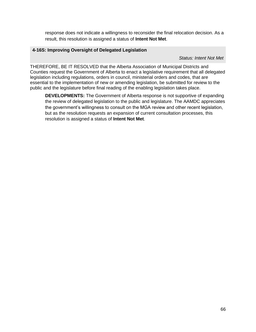response does not indicate a willingness to reconsider the final relocation decision. As a result, this resolution is assigned a status of **Intent Not Met**.

#### **4-16S: Improving Oversight of Delegated Legislation**

*Status: Intent Not Met*

THEREFORE, BE IT RESOLVED that the Alberta Association of Municipal Districts and Counties request the Government of Alberta to enact a legislative requirement that all delegated legislation including regulations, orders in council, ministerial orders and codes, that are essential to the implementation of new or amending legislation, be submitted for review to the public and the legislature before final reading of the enabling legislation takes place.

**DEVELOPMENTS:** The Government of Alberta response is not supportive of expanding the review of delegated legislation to the public and legislature. The AAMDC appreciates the government's willingness to consult on the MGA review and other recent legislation, but as the resolution requests an expansion of current consultation processes, this resolution is assigned a status of **Intent Not Met**.